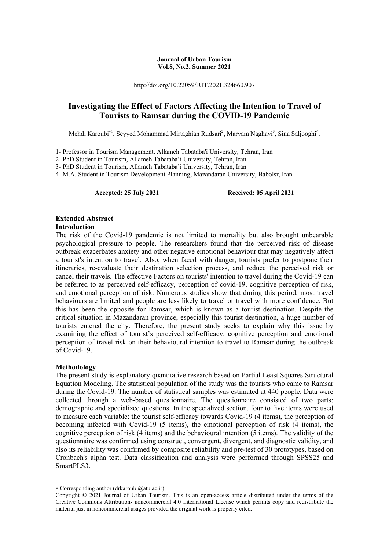#### **Journal of Urban Tourism Vol.8, No.2, Summer 2021**

http://doi.org/10.22059/JUT.2021.324660.907

### **Investigating the Effect of Factors Affecting the Intention to Travel of Tourists to Ramsar during the COVID-19 Pandemic**

Mehdi Karoubi<sup>\*1</sup>, Seyyed Mohammad Mirtaghian Rudsari<sup>2</sup>, Maryam Naghavi<sup>3</sup>, Sina Saljooghi<sup>4</sup>.

1- Professor in Tourism Management, Allameh Tabataba'i University, Tehran, Iran

2- PhD Student in Tourism, Allameh Tabataba'i University, Tehran, Iran

3- PhD Student in Tourism, Allameh Tabataba'i University, Tehran, Iran

4- M.A. Student in Tourism Development Planning, Mazandaran University, Babolsr, Iran

#### **Accepted: 25 July 2021 Received: 05 April 2021**

### **Extended Abstract**

#### **Introduction**

The risk of the Covid-19 pandemic is not limited to mortality but also brought unbearable psychological pressure to people. The researchers found that the perceived risk of disease outbreak exacerbates anxiety and other negative emotional behaviour that may negatively affect a tourist's intention to travel. Also, when faced with danger, tourists prefer to postpone their itineraries, re-evaluate their destination selection process, and reduce the perceived risk or cancel their travels. The effective Factors on tourists' intention to travel during the Covid-19 can be referred to as perceived self-efficacy, perception of covid-19, cognitive perception of risk, and emotional perception of risk. Numerous studies show that during this period, most travel behaviours are limited and people are less likely to travel or travel with more confidence. But this has been the opposite for Ramsar, which is known as a tourist destination. Despite the critical situation in Mazandaran province, especially this tourist destination, a huge number of tourists entered the city. Therefore, the present study seeks to explain why this issue by examining the effect of tourist's perceived self-efficacy, cognitive perception and emotional perception of travel risk on their behavioural intention to travel to Ramsar during the outbreak of Covid-19.

#### **Methodology**

**.** 

The present study is explanatory quantitative research based on Partial Least Squares Structural Equation Modeling. The statistical population of the study was the tourists who came to Ramsar during the Covid-19. The number of statistical samples was estimated at 440 people. Data were collected through a web-based questionnaire. The questionnaire consisted of two parts: demographic and specialized questions. In the specialized section, four to five items were used to measure each variable: the tourist self-efficacy towards Covid-19 (4 items), the perception of becoming infected with Covid-19 (5 items), the emotional perception of risk (4 items), the cognitive perception of risk (4 items) and the behavioural intention (5 items). The validity of the questionnaire was confirmed using construct, convergent, divergent, and diagnostic validity, and also its reliability was confirmed by composite reliability and pre-test of 30 prototypes, based on Cronbach's alpha test. Data classification and analysis were performed through SPSS25 and SmartPLS3.

Corresponding author (drkaroubi@atu.ac.ir)

Copyright © 2021 Journal of Urban Tourism. This is an open-access article distributed under the terms of the Creative Commons Attribution- noncommercial 4.0 International License which permits copy and redistribute the material just in noncommercial usages provided the original work is properly cited.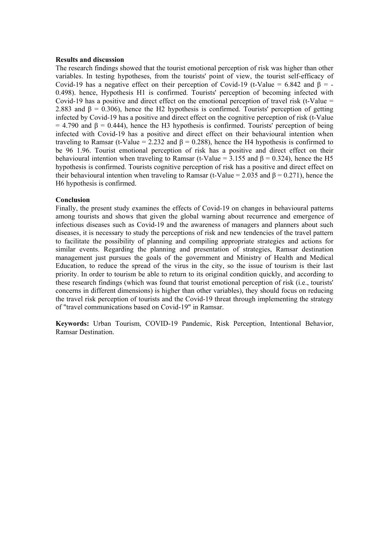#### **Results and discussion**

The research findings showed that the tourist emotional perception of risk was higher than other variables. In testing hypotheses, from the tourists' point of view, the tourist self-efficacy of Covid-19 has a negative effect on their perception of Covid-19 (t-Value = 6.842 and  $\beta$  = -0.498). hence, Hypothesis H1 is confirmed. Tourists' perception of becoming infected with Covid-19 has a positive and direct effect on the emotional perception of travel risk (t-Value  $=$ 2.883 and  $\beta = 0.306$ ), hence the H2 hypothesis is confirmed. Tourists' perception of getting infected by Covid-19 has a positive and direct effect on the cognitive perception of risk (t-Value  $= 4.790$  and  $\beta = 0.444$ ), hence the H3 hypothesis is confirmed. Tourists' perception of being infected with Covid-19 has a positive and direct effect on their behavioural intention when traveling to Ramsar (t-Value = 2.232 and  $\beta$  = 0.288), hence the H4 hypothesis is confirmed to be 96 1.96. Tourist emotional perception of risk has a positive and direct effect on their behavioural intention when traveling to Ramsar (t-Value =  $3.155$  and  $\beta$  = 0.324), hence the H5 hypothesis is confirmed. Tourists cognitive perception of risk has a positive and direct effect on their behavioural intention when traveling to Ramsar (t-Value =  $2.035$  and  $\beta = 0.271$ ), hence the H6 hypothesis is confirmed.

### **Conclusion**

Finally, the present study examines the effects of Covid-19 on changes in behavioural patterns among tourists and shows that given the global warning about recurrence and emergence of infectious diseases such as Covid-19 and the awareness of managers and planners about such diseases, it is necessary to study the perceptions of risk and new tendencies of the travel pattern to facilitate the possibility of planning and compiling appropriate strategies and actions for similar events. Regarding the planning and presentation of strategies, Ramsar destination management just pursues the goals of the government and Ministry of Health and Medical Education, to reduce the spread of the virus in the city, so the issue of tourism is their last priority. In order to tourism be able to return to its original condition quickly, and according to these research findings (which was found that tourist emotional perception of risk (i.e., tourists' concerns in different dimensions) is higher than other variables), they should focus on reducing the travel risk perception of tourists and the Covid-19 threat through implementing the strategy of "travel communications based on Covid-19" in Ramsar.

**Keywords:** Urban Tourism, COVID-19 Pandemic, Risk Perception, Intentional Behavior, Ramsar Destination.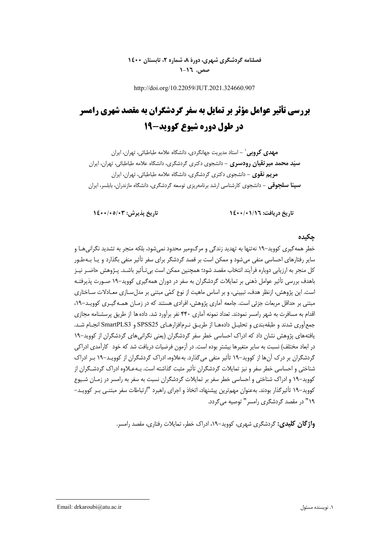### **فصلنامه گردشگري شهري، دورة ،8 شماره ،2 تابستان 1400 صص. 1-16**

http://doi.org/10.22059/JUT.2021.324660.907

# **بررسي تأثير عوامل مؤثر بر تمايل به سفر گردشگران به مقصد شهري رامسر در طول دوره شيوع كوويد19-**

**-** استاد مديريت جهانگردي، دانشگاه علامه طباطبائي، تهران، ايران<sup>1</sup> **مهدي كروبي سيد محمد ميرتقيان رودسري -** دانشجوي دكتري گردشگري، دانشگاه علامه طباطبائي، تهران، ايران **مريم نقوي -** دانشجوي دكتري گردشگري، دانشگاه علامه طباطبائي، تهران، ايران **سينا سلجوقي -** دانشجوي كارشناسي ارشد برنامهريزي توسعه گردشگري، دانشگاه مازندران، بابلسر، ايران

**تاريخ دريافت: 1400/01/16 تاريخ پذيرش: 1400/05/03** 

### **چكيده**

خطر همهگيري كوويد19- نهتنها به تهديد زندگي و مرگومير محدود نميشود، بلكه منجر به تشديد نگرانيهـا و ساير رفتارهاي احساسي منفي ميشود و ممكن است بر قصد گردشگر براي سفر تأثير منفي بگذارد و يـا بـهطـور كل منجر به ارزيابي دوباره فرآيند انتخاب مقصد شود؛ همچنين ممكن است بيتـأثير باشـد. پـژوهش حاضـر نيـز باهدف بررسي تأثير عوامل ذهني بر تمايلات گردشگران به سفر در دوران همهگيري كوويد19- صـورت پذيرفتـه است. اين پژوهش، ازنظر هدف، تبييني، و بر اساس ماهيت از نوع كمي مبتني بر مدلسـازي معـادلات سـاختاري مبتني بر حداقل مربعات جزئي است. جامعه آماري پژوهش، افرادي هستند كه در زمـان همـهگيـري كوويـد،19- اقدام به مسافرت به شهر رامسر نمودند. تعداد نمونه آماري 440 نفر برآورد شد. دادهها از طريق پرسشنامه مجازي جمعآوري شدند و طبقهبندي و تحليـل دادههـا از طريـق نـرمافزارهـاي 25SPSS و 3SmartPLS انجـام شـد. يافتههاي پژوهش نشان داد كه ادراك احساسي خطر سفر گردشگران (يعني نگرانيهاي گردشگران از كوويد19- در ابعاد مختلف) نسبت به ساير متغيرها بيشتر بوده است. در آزمون فرضيات دريافت شد كه خود كارآمدي ادراكي گردشگران بر درك آنها از كوويد19- تأثير منفي ميگذارد. بهعلاوه، ادراك گردشگران از كوويـد19- بـر ادراك شناختي و احساسي خطر سفر و نيز تمايلات گردشگران تأثير مثبت گذاشته است. بـهعـلاوه ادراك گردشـگران از كوويد–١٩ و ادراك شناختي و احساسي خطر سفر بر تمايلات گردشگران نسبت به سفر به رامسر در زمـان شـيوع كوويد19- تأثيرگذار بودند. بهعنوان مهمترين پيشنهاد، اتخاذ و اجراي راهبرد "ارتباطات سفر مبتنـي بـر كوويـد- 19" در مقصد گردشگري رامسر" توصيه ميگردد.

**واژگان كليدي:** گردشگري شهري، كوويد،19- ادراك خطر، تمايلات رفتاري، مقصد رامسر.

**.**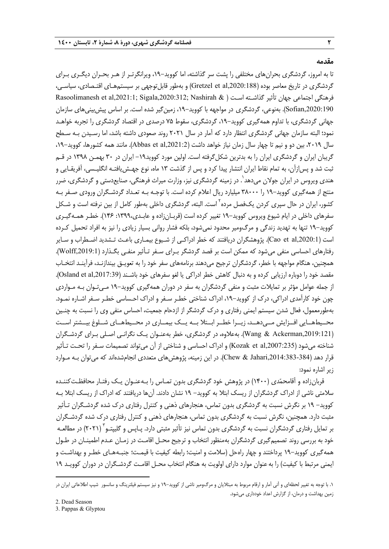#### **مقدمه**

تا به امروز، گردشگري بحرانهاي مختلفي را پشت سر گذاشته، اما كوويد،19- ويرانگرتـر از هـر بحـران ديگـري بـراي گردشگري در تاريخ معاصر بوده (,2020:188al et Gretzel (و بهطور قابلتوجهي بر سيستمهـاي اقتـصادي، سياسـي،  $R$ asoolimanesh et al,2021:1; Sigala,2020:312; Nashirah & ) فرهنگي اجتماعي جهان تأثير گذاشـته اسـت ( ,2020:190Sofian(. بهنوعي، گردشگري در مواجهه با كوويد،19- زمينگير شده است. بر اساس پيشبينيهاي سازمان جهاني گردشگري، با تداوم همهگيري كوويد،19- گردشگري، سقوط 75 درصدي در اقتصاد گردشگري را تجربه خواهـد نمود؛ البته سازمان جهاني گردشگري انتظار دارد كه آمار در سال 2021 روند صعودي داشته باشد، اما رسـيدن بـه سـطح سال ،2019 بين دو و نيم تا چهار سال زمان نياز خواهد داشت (,2021:2al et Abbas(. مانند همه كشورها، كوويد،19- گريبان ايران و گردشگري ايران را به بدترين شكل گرفته است. اولين مورد كوويد١٩ - ايران در ٣٠ بهمـن ١٣٩٨ در قـم ثبت شد و پسازآن، به تمام نقاط ايران انتشار پيدا كرد و پس از گذشت 13 ماه، نوع جهـشيافتـه انگليـسي، آفريقـايي و هندی ویروس در ایران جولان میدهد`. در زمینه گردشگری نیز، وزارت میراث فرهنگی، صنایعدستی و گردشگری، ضرر منتج از همهگيري كوويد19- را 38000 ميليارد ريال اعلام كرده است. با توجـه بـه تعـداد گردشـگران ورودي صـفر بـه كشور، ايران در حال سپري كردن يكفصل مرده<sup>٦</sup> است. البته، گردشگري داخلي بهطور كامل از بين نرفته است و شـكل سفرهاي داخلي در ايام شيوع ويروس كوويد19- تغيير كرده است (قربـانزاده و عابـدي:1399، 146). خطـر همـهگيـري كوويد19- تنها به تهديد زندگي و مرگومير محدود نميشود، بلكه فشار رواني بسيار زيادي را نيز به افراد تحميل كـرده است (Cao et al,2020:1). پژوهشگران دريافتند كه خطر ادراكـي از شـيوع بيمـاري باعـث تـشديد اضـطراب و سـاير رفتارهاي احساسي منفي ميشود كه ممكن است بر قصد گردشگر بـراي سـفر تـأثير منفـي بگـذارد (,2019:1Wolff(. همچنين، هنگام مواجهه با خطر، گردشگران ترجيح ميدهند برنامههاي سفر خود را به تعويـق بيندازنـد، فرآينـد انتخـاب مقصد خود را دوباره ارزيابي كرده و به دنبال كاهش خطر ادراكي يا لغو سفرهاي خود باشـند (Osland et al,2017:39). از جمله عوامل مؤثر بر تمايلات مثبت و منفي گردشگران به سفر در دوران همهگيري كوويد19- مـيتـوان بـه مـواردي چون خود كارآمدي ادراكي، درك از كوويد،19- ادراك شناختي خطـر سـفر و ادراك احـساسي خطـر سـفر اشـاره نمـو د. بهطورمعمول، فعال شدن سيستم ايمني رفتاري و درك گردشگر از ازدحام جمعيت، احساس منفي وي را نسبت به چنـين محــيطهــايي افــزايش مــيدهــد، زيــرا خطــر ابــتلا بــه يــك بيمــاري در محــيطهــاي شــلوغ بيــشتر اســت (Wang & Ackerman,2019:121). بهعلاوه، در گردشگري، خطر بهعنـوان يـك نگرانـي اصـلي بـراي گردشـگران شناخته ميشود (,2007:235al et Kozak (و ادراك احساسي و شناختي از آن ميتواند تصميمات سـفر را تحـت تـأثير قرار دهد (384-383:Jahari,2014) در اين زمينه، پژوهشهاي متعددي انجامشدهاند كه ميتوان بـه مـوارد زير اشاره نمود:

قربانزاده و آقامحمدي (1400) در پژوهش خود گردشگري بدون تمـاس را بـهعنـوان يـك رفتـار محافظـتكننـده سلامتي ناشي از ادراك گردشگران از ريسك ابتلا به كوويد- 19 نشان دادند. آنها دريافتند كه ادراك از ريسك ابتلا بـه كوويد- 19 بر نگرش نسبت به گردشگري بدون تماس، هنجارهاي ذهني و كنترل رفتاري درك شده گردشـگران تـأثير مثبت دارد. همچنين، نگرش نسبت به گردشگري بدون تماس، هنجارهاي ذهني و كنترل رفتاري درك شده گردشـگران بر تمايل رفتارى گردشگران نسبت به گردشگرى بدون تماس نيز تأثير مثبتى دارد. پـاپس و گليپتـو<sup>۳</sup> (۲۰۲۱) در مطالعـه خود به بررسي روند تصميمگيري گردشگران بهمنظور انتخاب و ترجيح محـل اقامـت در زمـان عـدم اطمينـان در طـول همهگيري كوويد19- پرداختند و چهار راهحل (سلامت و امنيت؛ رابطه كيفيت با قيمـت؛ جنبـههـاي خطـر و بهداشـت و ايمني مرتبط با كيفيت) را بهعنوان موارد داراي اولويت به هنگام انتخاب محـل اقامـت گردشـگران در دوران كوويـد 19

**.** 

3. Pappas & Glyptou

<sup>.1</sup> با توجه به تغيير لحظهاي و آني آمار و ارقام مربوط به مبتلايان و مرگومير ناشي از كوويد19- و نيز سيستم فيلترينگ و سانسور شيپ اطلاعاتي ايران در زمين بهداشت و درمان، از گزارش اعداد خودداري ميشود.

<sup>2.</sup> Dead Season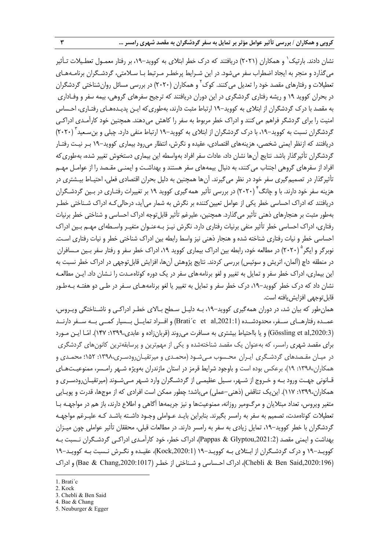نشان دادند. بارتيک` و همكاران (٢٠٢١) دريافتند كه درک خطر ابتلاي به كوويد–١٩، بر رفتار معمـول تعطـيلات تـأثير ميگذارد و منجر به ايجاد اضطراب سفر ميشود. در اين شـرايط پرخطـر مـرتبط بـا سـلامتي، گردشـگران برنامـههـاي تعطيلات و رفتارهاي مقصد خود را تعديل مي كنند. كوک<sup>۲</sup> و همکاران (۲۰۲۰) در بررسي مسائل روان شناختي گردشگران در بحران كوويد 19 و ريشه رفتاري گردشگري در اين دوران دريافتند كه ترجيح سفرهاي گروهي، بيمه سفر و وفـاداري به مقصد با درك گردشگران از ابتلاي به كوويد19- ارتباط مثبت دارند، بهطوريكه ايـن پديـدههـاي رفتـاري، احـساس امنيت را براي گردشگر فراهم ميكنند و ادراك خطر مربوط به سفر را كاهش ميدهند. همچنين خود كارآمـدي ادراكـي گردشگران نسبت به كوويد–۱۹، با درك گردشگران از ابتلاي به كوويد–۱۹ ارتباط منفي دارد. چبلي و بن سـعيد " (۲۰۲۰) دريافتند كه ازنظر ايمني شخصي، هزينههاي اقتصادي، عقيده و نگرش، انتظار ميرود بيماري كوويد19- بـر نيـت رفتـار گردشگران تأثيرگذار باشد. نتايج آنها نشان داد، عادات سفر افراد بهواسطه اين بيماري دستخوش تغيير شده، بهطوريكه افراد از سفرهاي گروهي اجتناب ميكنند، به دنبال بيمههاي سفر هستند و بهداشـت و ايمنـي مقـصد را از عوامـل مهـم تأثيرگذار در تصميمگيري سفر خود در نظر ميگيرند. آنها همچنين به دليل بحران اقتصادي فعلي، احتيـاط بيـشتري در هزينه سفر خود دارند. با و چانگ<sup>۴</sup> (۲۰۲۰) در بررسی تأثير همه گيری کوويد ۱۹ بر تغييرات رفتـاری در بـين گردشـگران دريافتند كه ادراك احساسي خطر يكي از عوامل تعيين كننده بر نگرش به شمار مي آيد، درحالي كـه ادراك شـناختي خطـر بهطور مثبت بر هنجارهاي ذهني تأثير ميگذارد. همچنين، عليرغم تأثير قابلتوجه ادراك احساسي و شناختي خطر برنيات رفتاري، ادراك احساسي خطر تأثير منفي برنيات رفتاري دارد. نگرش نيـز بـهعنـوان متغيـر واسـطهاي مهـم بـين ادراك احساسي خطر و نيات رفتاري شناخته شده و هنجار ذهني نيز واسط رابطه بين ادراك شناختي خطر و نيات رفتاري اسـت. نوبرگر و ايگر  $(7\cdot$ ۲۰) در مطالعه خود، رابطه بين ادراک بيماري كوويد ۱۹، ادراک خطر سفر و رفتار سفر بـين مـسافران در منطقه داچ (آلمان، اتريش و سوئيس) بررسي كردند. نتايج پژوهش آنها، افزايش قابلتوجهي در ادراك خطر نسبت به اين بيماري، ادراك خطر سفر و تمايل به تغيير و لغو برنامههاي سفر در يك دوره كوتاهمـدت را نـشان داد. ايـن مطالعـه نشان داد كه درك خطر كوويد،19- درك خطر سفر و تمايل به تغيير يا لغو برنامههـاي سـفر در طـي دو هفتـه بـهطـور قابل توجهي افزايش يافته است.

همانطور كه بيان شد، در دوران همهگيري كوويد،19- بـه دليـل سـطح بـالاي خطـر ادراكـي و ناشـناختگي ويـروس، عمــده رفتارهــاي ســفر، محدودشــده (,Brati´c \_et \_al,2021:1) و افــراد تمايــل بــسيار كمــي بــه ســفر دارنــد (,2020:3al et Gössling (و يا بااحتياط بيشتري به مسافرت ميروند (قربانزاده و عابدي:1399، 147). امـا ايـن مـورد براي مقصد شهري رامسر، كه بهعنوان يك مقصد شناختهشده و يكي از مهمترين و پرسابقهترين كانونهاي گردشگري در ميـان مقـصدهاي گردشـگري ايـران محـسوب مـيشـود (محمـدي و ميرتقيـانرودسـري:1398، 152؛ محمـدي و همكاران:1398، 19)، برعكس بوده است و باوجود شرايط قرمز در استان مازندران بهويژه شـهر رامـسر، ممنوعيـتهـاي قـانوني جهـت ورود بـه و خـروج از شـهر، سـيل عظيمـي از گردشـگران وارد شـهر مـيشـوند (ميرتقيـانرودسـري و همكاران:1399، 117). اينيك تناقض (ذهني-عملي) ميباشد؛ چطور ممكن است افرادي كه از موجها، قدرت و پويـايي متغير ويروس، تعداد مبتلايان و مرگومير روزانه، ممنوعيتها و نيز جريمهها آگاهي و اطلاع دارند، باز هم در مواجهـه بـا تعطيلات كوتاهمدت، تصميم به سفر به رامسر بگيرند. بنابراين بايـد عـواملي وجـود داشـته باشـد كـه عليـرغم مواجهـه گردشگران با خطر كوويد،19- تمايل زيادي به سفر به رامسر دارند. در مطالعات قبلي، محققان تأثير عواملي چون ميـزان بهداشت و ايمني مقصد (,2021:2Glyptou & Pappas(، ادراك خطر، خود كارآمـدي ادراكـي گردشـگران نـسبت بـه كوويـد19- و درك گردشـگران از ابـتلاي بـه كوويـد19- (,2020:1Kock(، عقيـده و نگـرش نـسبت بـه كوويـد19- (Chebli & Ben Said,2020:196)، ادراك احـساسي و شـناختي از خطـر (2020:1017) Bae & Chang و ادراك

1

<sup>1.</sup> Brati´c

<sup>2.</sup> Kock

<sup>3.</sup> Chebli & Ben Said

<sup>4.</sup> Bae & Chang

<sup>5.</sup> Neuburger & Egger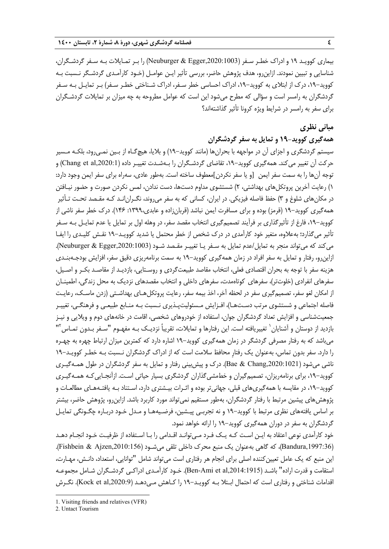بيماري كوويـد 19 و ادراك خطـر سـفر (,2020:1003Egger & Neuburger (را بـر تمـايلات بـه سـفر گردشـگران، شناسايي و تبيين نمودند. ازاينرو، هدف پژوهش حاضر، بررسي تأثير ايـن عوامـل (خـود كارآمـدي گردشـگر نـسبت بـه كوويد،19- درك از ابتلاي به كوويد،19- ادراك احساسي خطر سـفر، ادراك شـناختي خطـر سـفر ) بـر تمايـل بـه سـفر گردشگران به رامسر است و سؤالي كه مطرح ميشود اين است كه عوامل مطروحه به چه ميزان بر تمايلات گردشـگران براي سفر به رامسر در شرايط ويژه كرونا تأثير گذاشتهاند؟

### **مباني نظري**

### **همهگيري كوويد19- و تمايل به سفر گردشگران**

سيستم گردشگري و اجزاي آن در مواجهه با بحرانها (مانند كوويد19-) و بلايا، هيچگـاه از بـين نمـيرود، بلكـه مـسير حركت آن تغيير ميكند. همهگيري كوويد،19- تقاضاي گردشـگران را بـهشـدت تغييـر داده (,2020:1al et Chang (و توجه آنها را به سمت سفر ايمن [و يا سفر نكردن]معطوف ساخته است. بهطور عادي، سهراه براي سفر ايمن وجود دارد: 1) رعايت آخرين پروتكلهاي بهداشتي، 2) شستشوي مداوم دستها، دست ندادن، لمس نكردن صورت و حضور نيـافتن در مكانهاي شلوغ و 3) حفظ فاصله فيزيكي. در ايران، كساني كه به سفر ميروند، نگـرانانـد كـه مقـصد تحـت تـأثير همهگيري كوويد19- (قرمز) بوده و براي مسافرت ايمن نباشد (قربانزاده و عابدي:1399، 146). درك خطر سفر ناشي از كوويد،19- فارغ از تأثيرگذاري بر فرآيند تصميمگيري انتخاب مقصد سفر، در وهله اول بر تمايل يا عدم تمايـل بـه سـفر تأثير ميگذارد؛ بهعلاوه، متغير خود كارآمدي در درك شخص از خطر محتمل يا شديد كوويـد19- نقـش كليـدي را ايفـا ميكند كه ميتواند منجر به تمايل/عدم تمايل به سـفر يـا تغييـر مقـصد شـود (,2020:1003Egger & Neuburger(. ازاينرو، رفتار و تمايل به سفر افراد در زمان همهگيري كوويد19- به سمت برنامهريزي دقيق سفر، افزايش بودجـهبنـدي هزينه سفر با توجه به بحران اقتصادي فعلي، انتخاب مقاصد طبيعتگردي و روسـتايي، بازديـد از مقاصـد بكـر و اصـيل، سفرهاي انفرادي (خلوتتر)، سفرهاي كوتاهمدت، سفرهاي داخلي و انتخاب مقصدهاي نزديك به محل زندگي، اطمينـان از امكان لغو سفر، تصميمگيري سفر در لحظه آخر، اخذ بيمه سفر، رعايت پروتكلهـاي بهداشـتي (زدن ماسـك، رعايـت فاصله اجتماعي و شستشوي مرتب دسـتهـا)، افـزايش مـسئوليتپـذيري نـسبت بـه منـابع طبيعـي و فرهنگـي، تغييـر جمعيتشناسي و افزايش تعداد گردشگران جوان، استفاده از خودروهاي شخصي، اقامت در خانههاي دوم و ويلايي و نيـز  $^7$  تازديد از دوستان و آشنايان $^{\prime}$  تغييريافته است. اين رفتارها و تمايلات، تقريباً نزديـك بـه مفهـوم "سـفر بـدون تمـاس " ميباشد كه به رفتار مصرفي گردشگر در زمان همهگيري كوويد19- اشاره دارد كه كمترين ميزان ارتباط چهره به چهـره را دارد. سفر بدون تماس، بهعنوان يك رفتارِ محافظ سلامت است كه از ادراك گردشگران نـسبت بـه خطـر كوويـد19- ناشي ميشود (Bae & Chang,2020:1021). درك و پيشبيني رفتار و تمايل به سفر گردشگران در طول همـهگيـري كوويد-١٩، براي برنامهريزان، تصميمگيران و خطمشي گذاران گردشگري بسيار حياتي اسـت. ازآنجـايي كـه همـهگيـري كوويد–١٩، در مقايسه با همهگيري هاي قبلي، جهاني تر بوده و اثـرات بيـشتري دارد، اسـتناد بـه يافتـههـاي مطالعـات و پژوهشهاي پيشين مرتبط با رفتار گردشگران، بهطور مستقيم نميتواند مورد كاربرد باشد. ازاينرو، پژوهش حاضر، بيشتر بر اساس يافتههاي نظري مرتبط با كوويد19- و نه تجربـي پيـشين، فرضـيههـا و مـدل خـود دربـاره چگـونگي تمايـل گردشگران به سفر در دوران همهگيري كوويد19- را ارائه خواهد نمود.

خود كارآمدي نوعي اعتقاد به ايـن اسـت كـه يـك فـرد مـيتوانـد اقـدامي را بـا اسـتفاده از ظرفيـت خـود انجـام دهـد (Bandura,1997:36)، كه گاهي بهعنوان يك منبع محرك داخلي تلقي مي شـود (Fishbein & Ajzen,2010:156). اين منبع كه يك عامل تعيين كننده اصلي براي انجام هر رفتاري است ميتواند شامل "توانايي، استعداد، دانـش، مهـارت، استقامت و قدرت اراده" باشـد (,2014:1915al et Ami-Ben(. خـود كارآمـدي ادراكـي گردشـگران شـامل مجموعـه اقدامات شناختي و رفتاري است كه احتمال ابـتلا بـه كوويـد19- را كـاهش مـيدهـد (,2020:9al et Kock(. نگـرش

**.** 

<sup>1.</sup> Visiting friends and relatives (VFR)

<sup>2.</sup> Untact Tourism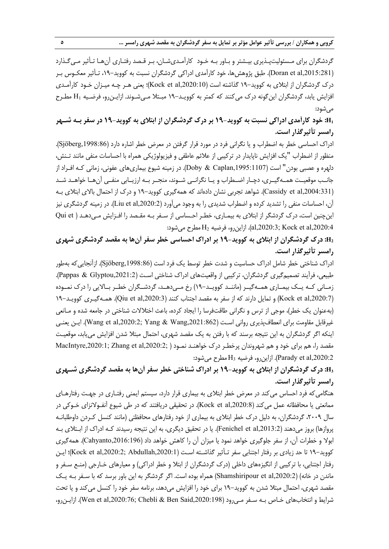گردشگران براي مـسئوليتپـذيري بيـشتر و بـاور بـه خـود كارآمـديشـان، بـر قـصد رفتـاري آنهـا تـأثير مـيگـذارد (,2015:281al et Doran(. طبق پژوهشها، خود كارآمدي ادراكي گردشگران نسبت به كوويد،19- تـأثير معكـوس بـر درک گردشگران از ابتلای به کووید–۱۹ گذاشته است (Kock et al,2020:10)؛ يعني هـر چـه ميـزان خـود کارآمـدي افزايش يابد، گردشگران اينگونه درك ميكنند كه كمتر به كوويـد19- مبـتلا مـيشـوند. ازايـنرو، فرضـيه 1H مطـرح ميشود:

# H1: خود کارآمدی ادراکی نسبت به کووید-۱۹ بر درک گردشگران از ابتلای به کووید-۱۹ در سفر بــه شــهر **رامسر تأثيرگذار است.**

ادراك احساسي خطر به اضطراب و يا نگراني فرد در مورد قرار گرفتن در معرض خطر اشاره دارد (,1998:86Sjöberg(. منظور از اضطراب "يك افزايش ناپايدار در تركيبي از علائم عاطفي و فيزيولوژيكي همراه با احساسات منفي مانند تـنش، دلهره و عصبي بودن" است (,1995:1107Caplan & Doby(. در زمينه شيوع بيماريهاي عفوني، زماني كـه افـراد از جانــب موقعيــت همــهگيــري، دچــار اضــطراب و يــا نگرانــي شــوند، منجــر بــه ارزيــابي منفــي آنهــا خواهــد شــد (Cassidy et al,2004:331). شواهد تجربي نشان دادهاند كه همهگيري كوويد-١٩ و درك از احتمال بالاي ابتلاي بـه آن، احساسات منفي را تشديد كرده و اضطراب شديدي را به وجود ميآورد (,2020:2al et Liu(. در زمينه گردشگري نيز اينچنين است، درك گردشگر از ابتلاي به بيمـاري، خطـر احـساسي از سـفر بـه مقـصد را افـزايش مـيدهـد ( et Qui :ميشود مطرح H2 فرضيه ،ازاينرو .)al,2020:3; Kock et al,2020:4

# **2H: درك گردشگران از ابتلاي به كوويد19- بر ادراك احساسي خطر سفر آنها به مقصد گردشگري شهري رامسر تأثيرگذار است.**

ادراك شناختي خطر شامل ادراك حساسيت و شدت خطر توسط يك فرد است (Sjöberg,1998:86). ازآنجايي كه بهطور طبيعي، فرآيند تصميمگيري گردشگران، تركيبي از واقعيتهاي ادراك شناختي اسـت (,2021:2Glyptou & Pappas(. زمــاني كــه يــك بيمــاري همــهگيــر (ماننــد كوويــد19-) رخ مــيدهــد، گردشــگران خطــر بــالايي را درك نمــوده (Kock et al,2020:7) و تمايل دارند كه از سفر به مقصد اجتناب كنند (Qiu et al,2020:3). همـهگيـري كوويـد−١٩ (بهعنوان يك خطر)، موجي از ترس و نگراني طاقتفرسا را ايجاد كرده، باعث اختلالات شناختي در جامعه شده و مـانعي غيرقابل مقاومت براي انعطافپذيري رواني اسـت (1:862\Wang et al,2020:2; Yang & Wang,2021: ايـن يعنـي اينكه اگر گردشگران به اين نتيجه برسند كه با رفتن به يك مقصد شهري، احتمال مبتلا شدن افزايش م ييابد، موقعيـت مقصد را، هم برای خود و هم شهروندان پرخطـر درک خواهنـد نمـود ( ;MacIntyre,2020:1; Zhang et al,2020:2 ازاينرو، فرضيه H3 مطرح ميشود: Parady et al,2020:2

# **3H: درك گردشگران از ابتلاي به كوويد19- بر ادراك شناختي خطر سفر آنها به مقصد گردشگري شـهري رامسر تأثيرگذار است.**

هنگاميكه فرد احساس ميكند در معرض خطر ابتلاي به بيماري قرار دارد، سيستم ايمني رفتـاري در جهـت رفتارهـاي ممانعتي يا محافظانه عمل مي كند (Kock et al,2020:8). در تحقيقي دريافتند كه در طي شيوع آنفـولانزاي خـوكي در سال ،2009 گردشگران، به دليل درك خطر ابتلاي به بيماري از خود رفتارهاي محافظتي (مانند كنسل كـردن داوطلبانـه پروازها) بروز ميدهند (Fenichel et al,2013:2). يا در تحقيق ديگري، به اين نتيجه رسيدند كـه ادراك از ابـتلاي بـه ابولا و خطرات آن، از سفر جلوگيري خواهد نمود يا ميزان آن را كاهش خواهد داد (,2016:196Cahyanto(. همهگيري كوويد-١٩ تا حد زيادي بر رفتار اجتنابي سفر تـأثير گذاشـته اسـت (Kock et al,2020:2; Abdullah,2020:1)؛ ايـن رفتار اجتنابي، با تركيبي از انگيزههاي داخلي (درك گردشگران از ابتلا و خطر ادراكي) و معيارهاي خـارجي (منـع سـفر و ماندن در خانه) (Shamshiripour et al,2020:2) همراه بوده است. اگر گردشگر به اين باور برسد كه با سـفر بـه يـك مقصد شهري، احتمال مبتلا شدن به كوويد19- براي خود را افزايش ميدهد، برنامه سفر خود را كنسل ميكند و يا تحت شرايط و انتخابهاي خـاص بـه سـفر مـي,رود (198).Wen et al,2020:76; Chebli & Ben Said,2020). ازايـن,رو،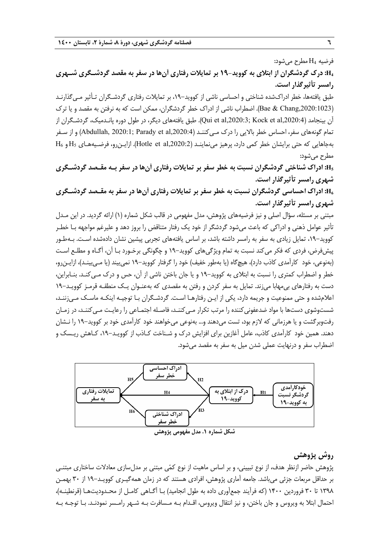فرضيه 4H مطرح ميشود: **4H: درك گردشگران از ابتلاي به كوويد19- بر تمايلات رفتاري آنها در سفر به مقصد گردشـگري شـهري رامسر تأثيرگذار است.** 

طبق يافتهها، خطر ادراكشده شناختي و احساسي ناشي از كوويد،19- بر تمايلات رفتاري گردشـگران تـأثير مـيگذارنـد (,2020:1023Chang & Bae(. اضطراب ناشي از ادراك خطر گردشگران، ممكن است كه به نرفتن به مقصد و يا ترك آن بينجامد (Qui et al,2020:3; Kock et al,2020:4). طبق يافتههاي ديگر، در طول دوره پانـدميک، گردشـگران از تمام گونههاي سفر، احساس خطر بالايي را درک مـي2ننـد (Abdullah, 2020:1; Parady et al,2020:4) و از سـفر  $\rm{H}_{6}$  بهجاهايي كه حتى برايشان خطر كمي دارد، پرهيز مينماينـد (Hotle et al,2020:2). ازايـنرو، فرضـيههـاي  $\rm{H}_{5}$  و مطرح ميشود:

**5H: ادراك شناختي گردشگران نسبت به خطر سفر بر تمايلات رفتاري آنها در سفر بـه مقـصد گردشـگري شهري رامسر تأثيرگذار است.** 

H6: ادراک احساسی گردشگران نسبت به خطر سفر بر تمایلات رفتاری آنها در سفر به مقـصد گردشـگری **شهري رامسر تأثيرگذار است.** 

مبتني بر مسئله، سؤال اصلي و نيز فرضيههاي پژوهش، مدل مفهومي در قالب شكل شماره (1) ارائه گرديد. در اين مـدل تأثير عوامل ذهني و ادراكي كه باعث ميشود گردشگر از خود يك رفتار متناقض را بروز دهد و عليرغم مواجهه بـا خطـر كوويد،19- تمايل زيادي به سفر به رامسر داشته باشد، بر اساس يافتههاي تجربي پيشين نشان دادهشده اسـت. بـهطـور پيش فرض، فردي كه فكر مي كند نسبت به تمام ويژگي هاي كوويد–١٩ و چگونگي برخـورد بـا آن، آگـاه و مطلـع اسـت (بهنوعي، خود كارآمدي كاذب دارد)، هيچگاه (يا بهطور خفيف) خود را گرفتار كوويد19- نميبيند (يا مـيبينـد)، ازايـنرو، خطر و اضطراب كمتري را نسبت به ابتلاي به كوويد 19- و يا جان باختن ناشي از آن، حس و درك مـيكنـد. بنـابراين، دست به رفتارهاي بيمهابا ميزند. تمايل به سفر كردن و رفتن به مقصدي كه به عنـوان يـك منطقـه قرمـز كوويـد19- اعلامشده و حتي ممنوعيت و جريمه دارد، يكي از ايـن رفتارهـا اسـت . گردشـگران بـا توجيـه اينكـه ماسـك مـيزننـد، شستوشوي دستها با مواد ضدعفوني كننده را مرتب تكرار مـي كننـد، فاصـله اجتمـاعي را رعايـت مـي كننـد، در زمـان رفتوبرگشت و يا هرزماني كه لازم بود، تست ميدهند و... بهنوعي ميخواهند خود كارآمدي خود بر كوويد19- را نـشان دهند. همين خود كارآمدي كاذب، عامل آغازين براي افزايش درك و شـناخت كـاذب از كوويـد،19- كـاهش ريـسك و اضطراب سفر و درنهايت عملي شدن ميل به سفر به مقصد ميشود.



### **روش پژوهش**

پژوهش حاضر ازنظر هدف، از نوع تبييني، و بر اساس ماهيت از نوع كمي مبتني بر مدل سازي معادلات ساختاري مبتنـي بر حداقل مربعات جزئي ميباشد. جامعه آماري پژوهش، افرادي هستند كه در زمان همهگيـري كوويـد19- از 30 بهمـن 1398 تا 30 فروردين 1400 (كه فرآيند جمعآوري داده به طول انجاميد) بـا آگـاهي كامـل از محـدوديتهـا (قرنطينـه)، احتمال ابتلا به ويروس و جان باختن، و نيز انتقال ويروس، اقـدام بـه مـسافرت بـه شـهر رامـسر نمودنـد. بـا توجـه بـه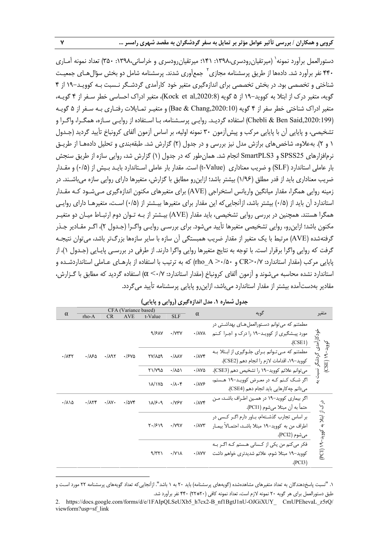دستورالعمل برآورد نمونه $^{\backprime}$  (ميرتقيان رودسري،١٣٩٨، ١٣١٠؛ ميرتقيان رودسري و خراساني،١٣٩٨، ٢٥٠) تعداد نمونه آمـاري ۴۴۰ نفر برآورد شد. دادهها از طريق پرسشنامه مجازی<sup>۲</sup> جمعآوری شدند. پرسشنامه شامل دو بخش سؤال@ای جمعیـت شناختي و تخصصي بود. در بخش تخصصي براي اندازهگيري متغير خود كارآمدي گردشـگر نـسبت بـه كوويـد19- از 4 گويه، متغير درك از ابتلا به كوويد19- از 5 گويه (,2020:8al et Kock(، متغير ادراك احساسي خطر سـفر از 4 گويـه، متغير ادراك شناختي خطر سفر از 4 گويه (,2020:10Chang & Bae (و متغيـر تمـايلات رفتـاري بـه سـفر از 5 گويـه (,2020:199Said Ben & Chebli (استفاده گرديـد. روايـي پرسـشنامه، بـا اسـتفاده از روايـي سـازه، همگـرا، واگـرا و تشخيصي، و پايايي آن با پايايي مركب و پيشآزمون 30 نمونه اوليه، بر اساس آزمون آلفاي كرونباخ تأييد گرديد (جـدول 1 و 2). بهعلاوه، شاخصهاي برازش مدل نيز بررسي و در جدول (2) گزارش شد. طبقهبندي و تحليل دادههـا از طريـق نرمافزارهاي 25SPSS و 3SmartPLS انجام شد. همانطور كه در جدول (1) گزارش شد، روايي سازه از طريق سنجش بار عاملي استاندارد (SLF (و ضريب معناداري (Value-t (است. مقدار بار عاملي اسـتاندارد بايـد بـيش از (0/5) و مقـدار ضريب معناداري بايد از قدر مطلق (1/96) بيشتر باشد؛ ازاينرو مطابق با گزارش، متغيرها داراي روايي سازه ميباشـند. در زمينه روايي همگرا، مقدار ميانگين واريانس استخراجي (AVE (براي متغيرهاي مكنون اندازهگيري مـيشـود كـه مقـدار استاندارد آن بايد از (0/+) بيشتر باشد، ازآنجايي كه اين مقدار براي متغيرها بيـشتر از (0/+) اسـت، متغيرهـا داراي روايـي همگرا هستند. همچنين در بررسي روايي تشخيصي، بايد مقدار (AVE (بيـشتر از بـه تـوان دوم ارتبـاط ميـان دو متغيـر مكنون باشد؛ ازاينرو، روايي تشخيصي متغيرها تأييد ميشود. براي بررسـي روايـي واگـرا (جـدول 2)، اگـر مقـادير جـذر گرفتهشده (AVE (مرتبط با يك متغير از مقدار ضريب همبستگي آن سازه با ساير سازهها بزرگتر باشد، ميتوان نتيجـه گرفت كه روايي واگرا برقرار است. با توجه به نتايج متغيرها روايي واگرا دارند. از طرفي در بررسـي پايـايي (جـدول 1)، از پايايي مركب (مقدار استاندارد: 0/7<CR و 0/50< A\_rho (كه به ترتيب با استفاده از بارهـاي عـاملي استانداردشـده و استاندارد نشده محاسبه ميشوند و آزمون آلفاي كرونباخ (مقدار استاندارد: 0/7> α (استفاده گرديد كه مطابق با گـزارش، مقادير بهدستآمده بيشتر از مقدار استاندارد ميباشد، ازاينرو پايايي پرسشنامه تأييد ميگردد.

|                                 | CFA (Variance based)      |                           |              |                         |                             |                             | گويه                                                                                                                  |                                         |
|---------------------------------|---------------------------|---------------------------|--------------|-------------------------|-----------------------------|-----------------------------|-----------------------------------------------------------------------------------------------------------------------|-----------------------------------------|
| $\alpha$                        | $rho-A$                   | CR                        | <b>AVE</b>   | t-Value                 | <b>SLF</b>                  | $\alpha$                    |                                                                                                                       | متغير                                   |
|                                 |                           |                           |              | 9/81V                   | $\cdot$ / $\vee \vee \vee$  | $\cdot$ /۸۷۸                | مطمئنم که می توانم دسـتورالعمل هـای بهداشـتی در<br>مورد پیشگیری از کوویـد–۱۹ را درک و اجـرا کـنم<br>(CSE1)            | خودکارآمدی گردشگر                       |
| $\cdot/\lambda$ ۴۲              | ۳۱۶۵.                     | .791                      | .1540        | TY/109                  | $\cdot / \lambda \lambda V$ | $\cdot$ / $\wedge$          | مطمئنم که مـی تــوانم بــرای جلــوگیری از ابــتلا بــه<br>كوويد−١٩، اقدامات لازم را انجام دهم (CSE2).                 | کووید-۱۹ (CSE)                          |
|                                 |                           |                           |              | ۲۱/۷۹۵                  | ۰/۸۵۱                       | $\cdot / \lambda V \Delta$  | میتوانم علائم کووید−۱۹ را تشخیص دهم (CSE3).                                                                           |                                         |
|                                 |                           |                           |              | ۱۸/۱۷۵                  | $\cdot/\lambda\cdot$ ۴      | $\cdot/\lambda\mathsf{Y}$ ۶ | اگر شک کنم که در معرض کووید-۱۹ هستم،                                                                                  | نسبت به                                 |
|                                 |                           |                           |              |                         |                             |                             | می دانم چه کارهایی باید انجام دهم (CSE4).                                                                             |                                         |
| $\cdot/\lambda\backslash\Delta$ | $\cdot/\lambda\Upsilon f$ | $\cdot/\lambda$ Y $\cdot$ | $\cdot$ /984 | $\lambda/\beta \cdot 9$ | $\cdot$ /YSY                | $\cdot/\Delta\mathsf{Y}$    | اگر بیماری کووید–۱۹ در همین اطـراف باشـد، مـن<br>حتماً به أن مبتلا مي شوم (PCI1).                                     |                                         |
|                                 |                           |                           |              | $Y\cdot$ /۶۱۹           | $\cdot$ /yqy                | $\cdot$ / $\Lambda$ Y۳      | بر اساس تجارب گذشتهام، باور دارم اگـر كـسى در<br>اطراف من به کووید–۱۹ مبتلا باشـد، احتمـالاً بیمـار<br>مي شوم (PCI2). | درک از ابتلا به ک <u>ووید</u> –۱۹ (PCI) |
|                                 |                           |                           |              | 9/77                    | $\cdot$ /Y\ $\lambda$       | $\cdot$ / $\wedge$ YY       | فکر می کنم من یکی از کـسانی هـستم کـه اگــر بــه<br>کووید–۱۹ مبتلا شوم، علائم شدیدتری خواهم داشت<br>(PCI3)            |                                         |

**جدول شماره .1 مدل اندازهگيري (روايي و پايايي)** 

.1 "نسبت پاسخدهندگان به تعداد متغيرهاي مشاهدهشده (گويههاي پرسشنامه) بايد 20 به 1 باشد". ازآنجاييكه تعداد گويههاي پرسشنامه 22 مورد اسـت و طبق دستورالعمل براي هر گويه 20 نمونه لازم است، تعداد نمونه كافي (20\*22) 440 نفر برآورد شد.

**.** 

<sup>2.</sup> https://docs.google.com/forms/d/e/1FAIpQLSeUXb5\_h7cx2-B\_nf1BgtJ1nU-OJGiXUY\_ CmUPEhevaL\_z5rQ/ viewform?usp=sf\_link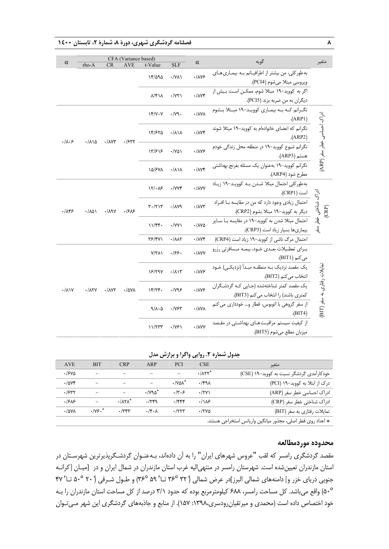**8 فصلنامه گردشگري شهري، دورة ،8 شمارة ،2 تابستان 1400**

|                         | CFA (Variance based)  |                        |              |                                               |                                                 | گويه                                         |                                                    |                                             |
|-------------------------|-----------------------|------------------------|--------------|-----------------------------------------------|-------------------------------------------------|----------------------------------------------|----------------------------------------------------|---------------------------------------------|
| $\alpha$                | rho-A                 | <b>CR</b>              | <b>AVE</b>   | t-Value                                       | SLF                                             | $\alpha$                                     |                                                    | متغير                                       |
|                         |                       |                        |              | 17/090                                        | $\cdot$ /YA)                                    | $\cdot/\lambda\mathsf{Y}$ ۶                  | به طورکلی، من بیشتر از اطرافیـانم بـه بیمـاری هـای |                                             |
|                         |                       |                        |              |                                               |                                                 |                                              | ويروسي مبتلا مي شوم (PCI4).                        |                                             |
|                         |                       |                        |              | $\lambda$ /۴۱۸                                | $\cdot$ /Y٢١                                    | $\cdot/\text{AVP}$                           | اگر به کووید-۱۹ مبتلا شوم، ممکـن اسـت بـیش از      |                                             |
|                         |                       |                        |              |                                               |                                                 |                                              | ديگران به من ضربه بزند (PCI5).                     |                                             |
|                         |                       |                        |              | YY/YY                                         | $\cdot/\gamma$ q.                               | $\cdot/\lambda\gamma\lambda$                 | نگـرانم كـه بـه بيمـارى كوويـد-١٩ مبـتلا بـشوم     |                                             |
|                         |                       |                        |              |                                               |                                                 |                                              | (ARP1)                                             |                                             |
|                         |                       |                        |              | 14/۶۲۵                                        | $\cdot/\lambda\backslash\lambda$                | $\cdot/\lambda\mathsf{Y}$ ۴                  | نگرانم که اعضای خانوادهام به کووید-۱۹ مبتلا شوند   |                                             |
| $\cdot/\lambda \cdot$ ۶ | $\cdot/\lambda$ 10    | $\cdot/\lambda$ V۳     | $.$ / $547$  |                                               |                                                 |                                              | (ARP2)                                             |                                             |
|                         |                       |                        |              | 15/۶1۶                                        | $\cdot$ /YQ)                                    | $\cdot/\lambda\mathsf{Y}$ ۶                  | نگرانم شیوع کووید-۱۹ در منطقه محل زندگی خودم       | ادراک احساسی خطر سفر (ARP)                  |
|                         |                       |                        |              |                                               |                                                 |                                              | هستم (ARP3).                                       |                                             |
|                         |                       |                        |              | ١۵/۶٧٨                                        | $\cdot/\lambda\backslash\lambda$                | $\cdot/\lambda\mathsf{Y}$ ۴                  | نگرانم کووید–۱۹ بهعنوان یک مسئله بغرنج بهداشتی     |                                             |
|                         |                       |                        |              |                                               |                                                 |                                              | مطرح شود (ARP4).                                   |                                             |
|                         | $\cdot/\lambda\Delta$ | $\cdot/\lambda$ 9Y     | .1515        | 17/48                                         | $\cdot$ / $VVf$                                 | $\cdot$ /۸۷۷                                 | به طور كلي احتمال مبتلا شدن بـه كوويـد-١٩ زيـاد    |                                             |
|                         |                       |                        |              |                                               |                                                 |                                              | است (CRP1).                                        |                                             |
|                         |                       |                        |              | $\mathbf{r} \cdot (\mathbf{r}) \mathbf{r}$    | $\cdot$ / $\Lambda$ yq                          | $\cdot$ / $\wedge$ Y۳                        | احتمال زیادی وجود دارد که من در مقایسه با افراد    | ادراک شناختی خ<br>(CRP)                     |
| .789                    |                       |                        |              |                                               |                                                 |                                              | ديگر به كوويد-١٩ مبتلا بشوم (CRP2).                |                                             |
|                         |                       |                        |              | 11/FF<br>$\cdot$ /YY $\lambda$                |                                                 | $\cdot/\lambda\mathrm{VA}$                   | احتمال مبتلا شدن به کووید-۱۹ در مقایسه بـا سـایر   | $\mathbf{\hat{z}}$                          |
|                         |                       |                        |              |                                               |                                                 |                                              | بیماریها بسیار زیاد است (CRP3).                    | $\cdot \hat{\mathcal{F}}$                   |
|                         |                       |                        |              |                                               | $\mathsf{Y} \mathsf{P} / \mathsf{Y} \mathsf{V}$ | $\cdot/\lambda\lambda\Upsilon$               | $\cdot/\lambda\mathsf{Y}^*$                        | احتمال مرگ ناشی از کووید-١٩ زیاد است (CRP4) |
|                         |                       |                        |              | $Y/Y\Lambda$                                  | .199.                                           |                                              | برای تعطیلات بعدی خود، بیمه مسافرتی رزرو           |                                             |
|                         |                       |                        |              |                                               |                                                 | $\cdot$ / $\wedge$ YY                        | می کنم (BIT1).                                     |                                             |
|                         |                       |                        |              |                                               |                                                 |                                              | یک مقصد نزدیک بـه منطقـه مبـدأ (نزدیکـی) خـود      |                                             |
| $\cdot/\lambda$         |                       | $\cdot$ / $\Lambda$ YT |              | 15/79V                                        | $\cdot/\lambda$                                 | $\cdot/\lambda\mathsf{Y}$ ۶                  | انتخاب می کنم (BIT2).                              |                                             |
|                         |                       |                        | $\cdot$ /۵۷۸ |                                               |                                                 | .11Y5                                        | یک مقصد کمتر شناختهشده (جایی کـه گردشـگران         |                                             |
|                         | $\cdot/\lambda$ ۲Y    |                        |              | 15/79                                         | $\cdot$ / $\gamma$ ۹۶                           |                                              | كمترى باشند) را انتخاب مى كنم (BIT3).              | تمایلات <sub>(</sub> فتاری به سفر (BIT)     |
|                         |                       |                        |              | $9/\lambda \cdot \Delta$<br>$\cdot/\gamma$ ۶۳ |                                                 | $\cdot/\lambda\mathrm{V}\lambda$             | از سفر گروهی با اتوبوس، قطار و… خودداری می کنم     |                                             |
|                         |                       |                        |              |                                               |                                                 |                                              | (HIT4)                                             |                                             |
|                         |                       |                        |              | 11/TTT<br>$\cdot$ /Y۶)                        |                                                 | از کیفیت سیستم مراقبت هـای بهداشـتی در مقـصد |                                                    |                                             |
|                         |                       |                        |              |                                               |                                                 | $\cdot$ / $\wedge$ YY                        | ميزبان مطلع ميشوم (BIT5).                          |                                             |

### **جدول شماره .2 روايي واگرا و برازش مدل**

| <b>AVE</b>            | <b>BIT</b>               | <b>CRP</b>                        | ARP                                 | <b>PCI</b>                     | <b>CSE</b>              | متغير                                                       |
|-----------------------|--------------------------|-----------------------------------|-------------------------------------|--------------------------------|-------------------------|-------------------------------------------------------------|
| .1540                 | -                        |                                   |                                     |                                | $\cdot$ / $\Lambda$ ۲۲* | خودکارآمدی گردشگر نسبت به کووید–۱۹ (CSE)                    |
| .7804                 | $\overline{\phantom{0}}$ |                                   |                                     | $\cdot$ / Y $\Delta \Lambda^*$ | ۳۹۸.                    | درک از ابتلا به کووید–۱۹ (PCI)                              |
| .1547                 |                          | $\equiv$                          | $\cdot$ / $\vee$ 9 $\wedge$ $\circ$ | .77.5                          | $\cdot$ /۲۷)            | ادراک احساسی خطر سفر (ARP)                                  |
| .1985                 |                          | $\cdot$ / $\Lambda$ ۲ $\Lambda^*$ | .749                                | $.$ /۴۴۴                       | .118                    | ادراک شناختی خطر سفر (CRP)                                  |
| $\cdot$ / $\Delta$ YA | $\cdot$ /ys.*            | .779                              | $\cdot$ /۴ $\cdot$ ۸                | $\cdot$ /٢٢٣                   | ۱۲۷۵.                   | تمایلات رفتاری به سفر (BIT)                                 |
|                       |                          |                                   |                                     |                                |                         | * اعداد روى قطر اصلى، مجذور ميانگين واريانس استخراجى هستند. |

### **محدوده موردمطالعه**

مقصد گردشگري رامسر كه لقب "عروس شهرهاي ايران" را به آن دادهاند، بـهعنـوان گردشـگرپذيرترين شهرسـتان در استان مازندران تعيينشده است. شهرستان رامسر در منتهياليه غرب استان مازندران در شمال ايران و در [ميـان [كرانـه جنوبي درياي خزر و] دامنههاي شمالي البرز]در عرض شمالي ('٣٤ 3٢° تـا '٥٩° ٣٤°) و طـول شـرقي ( ٢٠° ۵٠° تـا ' ۴٧ 50°) واقع ميباشد. كل مساحت رامسر، 688 كيلومترمربع بوده كه حدود 3/1 درصد از كل مساحت استان مازندران را بـه خود اختصاص داده است (محمدي و ميرتقيانرودسري:1398، 157). از منابع و جاذبههاي گردشگري اين شهر مـيتـوان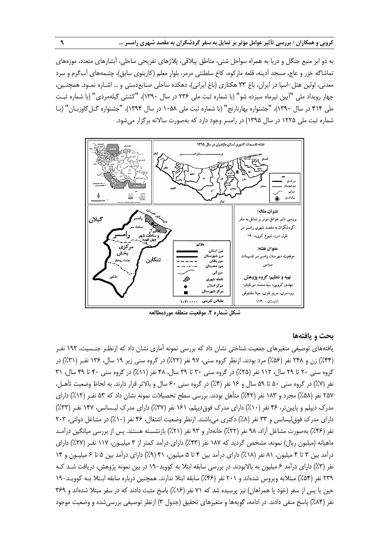به دو ابر منبع جنگل و دريا به همراه سواحل شني، مناطق ييلاقي، پلاژهاي تفريحي ساحلي، آبشارهاي متعدد، موزههاي تماشاگه خزر و عاج، مسجد آدينه، قلعه ماركوه، كاخ سلطنتي مرمر، بلوار معلم (كازينوي سابق)، چشمههاي آبگرم و سرد معدني، اولين هتل-اسپا در ايران، باغ 33 هكتاري (باغ ايراني)، دهكده ساحلي صنايعدستي و ... اشـاره نمـود. همچنـين، چهار رويداد ملي "آيين تيرماه سيزده شو" (با شماره ثبت ملي 236 در سال 1390)، "كشتي گيلهمردي" (با شماره ثبـت ملي 414 در سال 1390)، "جشنواره بهارنارنج" (با شماره ثبت ملي 1058 در سال 1394)، "جشنواره گـلگاوزبـان" (بـا شماره ثبت ملي 1225 در سال 1395) در رامسر وجود دارد كه بهصورت سالانه برگزار ميشود.



### **بحث و يافتهها**

يافتههاي توصيفي متغيرهاي جمعيت شناختي نشان داد كه بررسي نمونه آماري نشان داد كه ازنظـر جنـسيت، 192 نفـر (%44) زن و 248 نفر (%56) مرد بودند. ازنظر گروه سني، 97 نفر (%22) در گروه سني زير 19 سال، 136 نفـر (%31) در گروه سني ٢٠ تا ٢٩ سال، ١١٢ نفر (٢۵٪) در گروه سني ٣٠ تا ٣٩ سال، ۴٨ نفر (١١٪) در گروه سني ۴٠ تا ۴٩ سال، ٣١ نفر (%7) در گروه سني 50 تا 59 سال و 16 نفر (%4) در گروه سني 60 سال و بالاتر قرار دارند. به لحاظ وضعيت تأهـل، 257 نفر (%58) مجرد و 183 نفر (%42) متأهل بودند. بررسي سطح تحصيلات نمونه نشان داد كه 53 نفـر (%12) داراي مدرك ديپلم و پايينتر، 46 نفر (%10) داراي مدرك فوقديپلم، 161 نفر (%37) داراي مدرك ليـسانس، 147 نفـر (%33) داراي مدرك فوق ليسانس و ٣٣ نفر (٨٪) دكتري مي باشند. ازنظر وضعيت اشتغال، ۴۶ نفر (١٠٪) در مشاغل دولتي، ٢٠٣ نفر (%46) بهصورت مشاغل آزاد، 98 نفر (%22) خانهدار و 93 نفر (%21) بازنشسته هستند. پس از بررسي ميانگين درآمـد ماهيانه (ميليون ريال) نمونه، مشخص گرديد كه 187 نفر (%43) داراي درآمد كمتر از 3 ميليـون، 117 نفـر (%27) داراي درآمد بين 3 تا 4 ميليون، 81 نفر (%18) داراي درآمد بين 4 تا 5 ميليون، 41 (%9) داراي درآمد بين 5 تا 6 ميليـون و 14 نفر (%3) داراي درآمد 6 ميليون به بالابودند. در بررسي سابقه ابتلا به كوويد19- در بين نمونه پژوهش، دريافت شـد كـه 239 نفر (%54) مبتلابه ويروس شدهاند و 201 نفر (%46) سابقه ابتلا ندارند. همچنين درباره سابقه ابـتلا بـه كوويـد19- حين يا پس از سفر (خود يا همراهان) نيز پرسيده شد كه ٧١ نفر (١۶٪) پاسخ مثبت دادند كه در سفر مبتلا شدهاند و ٣۶٩ نفر (%84) پاسخ منفي دادند. در ادامه، گويهها و متغيرهاي تحقيق (جدول 3) ازنظر توصيفي بررسيشده و وضعيت موجود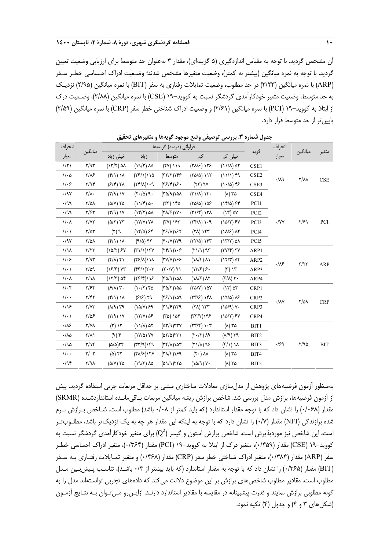آن مشخص گرديد. با توجه به مقياس اندازهگيري (5 گزينهاي)، مقدار 3 بهعنوان حد متوسط براي ارزيابي وضعيت تعيين گرديد. با توجه به نمره ميانگين (بيشتر به كمتر)، وضعيت متغيرها مشخص شدند؛ وضـعيت ادراك احـساسي خطـر سـفر (ARP (با نمره ميانگين (3/23) در حد مطلوب، وضعيت تمايلات رفتاري به سفر (BIT (با نمره ميانگين (2/95) نزديـك به حد متوسط، وضعيت متغير خودكارآمدي گردشگر نسبت به كوويد19- (CSE (با نمره ميانگين (2/88)، وضـعيت درك از ابتلا به كوويد19- (PCI (با نمره ميانگين (2/61) و وضعيت ادراك شناختي خطر سفر (CRP (با نمره ميانگين (2/59) پايينتر از حد متوسط قرار دارد.

| انحراف                          |                              |                                           |                                    | فراوانی (درصد) گزینهها                                          |                                                       |                                                           |                  | انحراف              | ميانگين            |            |
|---------------------------------|------------------------------|-------------------------------------------|------------------------------------|-----------------------------------------------------------------|-------------------------------------------------------|-----------------------------------------------------------|------------------|---------------------|--------------------|------------|
| معيار                           | ميانگين                      | خیلی زیاد                                 | زياد                               | متوسط                                                           | کم                                                    | خیلی کم                                                   | گويه             | معيار               |                    | متغير      |
| $\frac{1}{\tau}$                | Y/9Y                         | $(17/7)$ ar                               | $(19/7)$ $\lambda\Delta$           | $(7Y)$ ) $19$                                                   | $(Y\lambda/\mathcal{F})$ $\lambda Y\mathcal{F}$       | $(11/\lambda)$ at                                         | CSE1             |                     |                    |            |
| $1/\cdot \Delta$                | $Y/\lambda$ ۶                | $(\frac{2}{3})$ ) $\lambda$               | ۱۱۵(۱/۲۶)                          | (TY Y)Y5                                                        | $(Y\Delta/\Delta)$ ) ) ) $Y$                          | $(11/1)$ ۴۹                                               | CSE <sub>2</sub> | $\cdot/\lambda$ ٩   | $Y/\lambda\lambda$ | $\rm CSE$  |
| 1.5                             | Y/9f                         | $(F/F)$ $Y\Lambda$                        | P(1 X Y)                           | $(\nabla \mathcal{S}/\mathfrak{F})\mathcal{S}$ .                | $(YY)$ 9 $Y$                                          | $(1.40)$ ۴۶                                               | CSE3             |                     |                    |            |
| $\cdot$ /97                     | $\mathbf{Y}/\mathbf{A}$      | $(\mathcal{M}(\mathcal{A}))$              | $(\tau \cdot / \Delta)$ 9.         | ۱۵۸(۳۵/۹)                                                       | $(\nabla \wedge \wedge) \wedge \nabla \cdot$          | $(\wedge)$ ۳۵                                             | CSE4             |                     |                    |            |
| $\cdot$ /99                     | $\frac{1}{2}$                | $(\Delta/Y)$ ۲۵                           | $(11/\mathcal{F})$ $\Delta$ .      | $(77)$ $150$                                                    | $(T\Delta/\Delta)$ ነል۶                                | $(15/2)$ ff                                               | PCI1             |                     |                    |            |
| $\cdot$ /99                     | $\frac{1}{2}$                | $(Y/\mathcal{A})$ ) Y                     | $(17/7)$ $\Delta\lambda$           | $(\forall \lambda/\mathcal{F})\setminus V$                      | $(\uparrow \wedge / \uparrow) \wedge \uparrow \wedge$ | $(17)$ ۵۷                                                 | PCI <sub>2</sub> |                     |                    |            |
| $\mathcal{N} \cdot \mathcal{N}$ | Y/YY                         | $(\Delta/\Upsilon)$ $\Upsilon\Upsilon$    | $(1Y/Y)$ YA                        | $(YV)$ $YY$                                                     | $P \cdot ( \lambda )$                                 | $(1\Delta/\tau)$ ۶ $Y$                                    | PCI3             | $\cdot$ /YY         | $\frac{1}{2}$      | PCI        |
| $\mathcal{N} \cdot \mathcal{N}$ | $\frac{1}{2}$                | $\rho\left(\gamma\right)$                 | $(17/2)$ ff                        | $(T5/\lambda)$                                                  | $(Y\lambda)$ $\lambda Y\tau$                          | $(1\lambda/\mathcal{F})$ $\lambda\Upsilon$                | PCI <sub>4</sub> |                     |                    |            |
| $\cdot$ /97                     | $\frac{1}{2}$                | $(\mathfrak{f}/\mathfrak{f})$ ) $\lambda$ | $(9/2)$ ۴۲                         | $(\mathfrak{f}\cdot/\mathsf{Y})\setminus\mathsf{Y}\mathfrak{q}$ | $(TY/\Delta)$ ) $YY'$                                 | $(17/7)$ ۵۸                                               | PCI5             |                     |                    |            |
| $1/\lambda$                     | $\tau/\tau\tau$              | $(1\Delta/T)$ ۶۷                          | (T1/1)1TV                          | $(7f/1)\rightarrow$                                             | $(71/1)$ 95                                           | $(\mathsf{r}\mathsf{v}/\mathsf{r})\,\mathsf{r}\mathsf{v}$ | ARP1             |                     |                    |            |
| $1/\cdot$ ۶                     | Y/9Y                         | $(Y/\lambda)$ $Y\lambda$                  | $(\nabla \mathcal{F}/\Lambda)$ ۱۱۸ | (٣٧/٧)١۶۶                                                       | $(\lambda/\mathcal{F})$ $\lambda\lambda$              | $(17/T)$ af                                               | ARP2             | $\cdot/\mathcal{N}$ | $\tau/\tau\tau$    | <b>ARP</b> |
| $\mathcal{N} \cdot \mathcal{N}$ | $\frac{8}{10}$               | $(15/5)$ Yr                               | (55/1)7.7                          | $(Y \cdot   Y)$ 9)                                              | $(17/5)$ $5.$                                         | $(\tau)$ $\gamma\tau$                                     | ARP3             |                     |                    |            |
| $\sqrt{\cdot}$                  | $\frac{1}{\sqrt{2}}$         | $(17/T)$ af                               | (75/9)15                           | ۱۵۸(۱۵۸)                                                        | $(\lambda x/\mathcal{F})$ $\lambda x$                 | $(5/\lambda)$ $\forall$ .                                 | ARP4             |                     |                    |            |
| $1/\cdot$ ۴                     | $\frac{8}{2}$                | $(F/\lambda)$ $\forall$ .                 | $(1 - \tau)$ ۴۵                    | $(T\Delta/\Upsilon)\Delta\Delta$                                | $(Y\Delta/Y)$ ) $\Delta Y$                            | $(17)$ $\Delta$ ۳                                         | CRP1             |                     |                    |            |
| $\sqrt{\cdot \cdot}$            | $Y/\Upsilon Y$               | $(f/\lambda)$                             | $(F/F)$ $Y9$                       | (75/1)189                                                       | $(\Upsilon \Upsilon / 5)$ ) $\Upsilon \Lambda$        | $(19/2)$ $\lambda$ ۶                                      | CRP2             | $\cdot/\lambda$ Y   |                    | <b>CRP</b> |
| $1/\sqrt{2}$                    | Y/YY                         | $(\lambda/\mathfrak{q})$ ۳۹               | $(1\Delta/V)$ ۶۹                   | $(\nabla \wedge /S)$ ١٣٩                                        | $(7\lambda)$ $157$                                    | $(10/9)$ Y.                                               | CRP3             |                     | $\frac{8}{10}$     |            |
| $\sqrt{\cdot}$                  | $Y/\Delta P$                 | $(Y/\mathcal{A})$ ) $Y$                   | $(17/Y)$ $\Delta$ ۶                | $(T\Delta)$ ነ $\Delta f$                                        | (TT/T)                                                | $(10/7)$ FY                                               | CRP4             |                     |                    |            |
| $\cdot/\lambda$ ۶               | $Y/Y\Lambda$                 | $(\tau)$ $\gamma\tau$                     | $(11/\lambda)$ at                  | $(\Delta \Upsilon) \Upsilon \Upsilon \Upsilon$                  | $(\Upsilon \Upsilon / \Upsilon) \Upsilon \Upsilon$    | ۲۵ (۸)                                                    | BIT1             |                     |                    |            |
| $\cdot/\lambda\Delta$           | $\mathsf{Y}/\mathsf{Y}$      | $(9)$ ۴                                   | $(1Y/\Delta)$ YY                   | (۵۲/۵)۲۳۱                                                       | $(\tau \cdot / \tau)$ and                             | $f^*\left(\sqrt{A}\right)$                                | BIT2             |                     |                    |            |
| ۰/۹۵                            | $\frac{1}{\sqrt{2}}$         | $(\Delta/\Delta)$ ٢۴                      | (TT/9)                             | $(\Upsilon \Upsilon / \Lambda)$ ١۵٣                             | $(71/\lambda)$ 98                                     | $(f/\lambda)$ $\lambda$                                   | BIT3             | .159                | Y/90               | <b>BIT</b> |
| $\sqrt{\cdot \cdot}$            | $\mathbf{r}/\cdot\mathbf{r}$ | ۲۲ (۵)                                    | $(Y\Lambda/\mathcal{F})$ ١٢۶       | $(\forall \lambda/\forall)$ ۱۶۹                                 | $(\tau \cdot)$ $\lambda\lambda$                       | ۲۵ (۸)                                                    | BIT4             |                     |                    |            |
| $\cdot$ /94                     | $\mathcal{N}/\mathcal{N}$    | ۲۵ (۵/۷)                                  | $(19/7)$ $\lambda\Delta$           | $(01/1)$ 550                                                    | $(1\Delta/\mathfrak{A})$ $\mathsf{Y}$ .               | $(\wedge)$ ۳۵                                             | BIT5             |                     |                    |            |

**جدول شماره .3 بررسي توصيفي وضع موجود گويهها و متغيرهاي تحقيق** 

بهمنظور آزمون فرضيههاي پژوهش از مدلسازي معادلات ساختاري مبتني بر حداقل مربعات جزئي استفاده گرديد . پيش از آزمون فرضيهها، برازش مدل بررسي شد. شاخص برازش ريشه ميانگين مربعات بـاقيمانـده استانداردشـده (SRMR ( مقدار (0/068) را نشان داد كه با توجه مقدار استاندارد (كه بايد كمتر از 0/08 باشد) مطلوب است. شـاخص بـرازش نـرم شده برازندگي (NFI (مقدار (0/7) را نشان دارد كه با توجه به اينكه اين مقدار هر چه به يك نزديك تر باشد، مطلـوبتـر است، اين شاخص نيز موردپذيرش است. شاخص برازش استون و گيسر  $(\mathrm{Q}^2)$  براي متغير خودكارآمدي گردشگر نسبت به كوويد-١٩ (CSE) مقدار (٢٥٩٠)، متغير درك از ابتلا به كوويد-١٩ (PCI) مقدار (٢/٣۶۴)، متغير ادراك احساسي خطـر سفر (ARP (مقدار (0/384)، متغير ادراك شناختي خطر سفر (CRP (مقدار (0/468) و متغير تمـايلات رفتـاري بـه سـفر (BIT (مقدار (0/365) را نشان داد كه با توجه به مقدار استاندارد (كه بايد بيشتر از 0/3 باشـد)، تناسـب پـيشبـين مـدل مطلوب است. مقادير مطلوب شاخص هاي برازش بر اين موضوع دلالت مي كند كه دادههاي تجربي توانستهاند مدل را به گونه مطلوبي برازش نمايند و قدرت پيشبينانه در مقايسه با مقادير استاندارد دارنـد. ازايـنرو مـيتـوان بـه نتـايج آزمـون (شكلهاي 3 و 4) و جدول (4) تكيه نمود.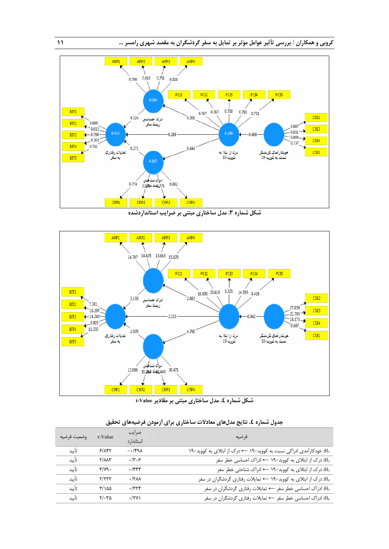



| وضعيت فرضيه | t-Value              | ضرايب<br>استاندار د | فرضيه                                                                            |
|-------------|----------------------|---------------------|----------------------------------------------------------------------------------|
| تأىد        | 5/157                | $-\cdot$ /۴۹۸       | H1: خودکارآمدی ادراکی نسبت به کووید-١٩ ← درک از ابتلای به کووید-١٩               |
| تأىد        | $Y/\lambda\lambda Y$ | .77.5               | درک از ابتلای به کووید-۱۹ $\rightarrow$ ادراک احساسی خطر سفر: $\mathrm{H}_2$     |
| تأىد        | $f/\gamma$           | ۰/۴۴۴               | درک از ابتلای به کووید-۱۹ $\rightarrow$ ادراک شناختی خطر سفر: H3                 |
| تأىد        | Y/YYY                | $\cdot$ / $\tau$    | درک از ابتلای به کووید-۱۹ $\rightarrow$ تمایلات رفتاری گردشگران در سفر $\rm H_4$ |
| تأىد        | $\frac{1}{2}$        | $\cdot$ /۳۲۴        | H5: ادراک احساسی خطر سفر ← تمایلات رفتاری گردشگران در سفر                        |
| تأىد        | $Y/\cdot Y\Delta$    | $\cdot$ /۲۷)        | ادراک احساسی خطر سفر $\rightarrow$ تمایلات رفتاری گردشگران در سفر:               |

| جدول شماره ٤. نتايج مدلهاى معادلات ساختارى براى أزمودن فرضيههاى تحقيق |  |  |  |  |
|-----------------------------------------------------------------------|--|--|--|--|
|-----------------------------------------------------------------------|--|--|--|--|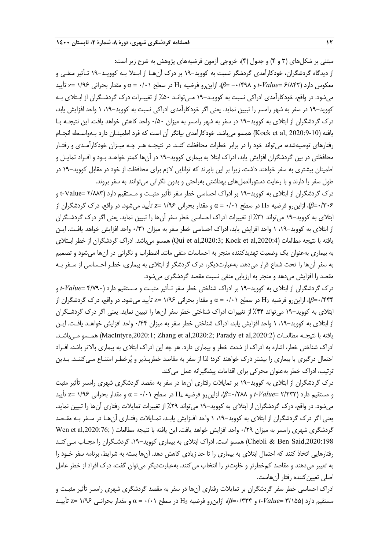مبتني بر شكلهاي (3 و 4) و جدول (4)، خروجي آزمون فرضيههاي پژوهش به شرح زير است: از ديدگاه گردشگران، خودكارآمدي گردشگر نسبت به كوويد19- بر درك آنهـا از ابـتلا بـه كوويـد19- تـأثير منفـي و معكوس دارد (6/842 =*Value-t* و -0/498 =*β*(، ازاينرو فرضيه 1H در سطح 0/01 = α و مقدار بحراني 1/96 =ᴢ تأييد ميشود. در واقع، خودكارآمدي ادراكي نسبت به كوويـد19- مـيتوانـد %50 از تغييـرات درك گردشـگران از ابـتلاي بـه كوويد–١٩ در سفر به شهر رامسر را تبيين نمايد. يعني اگر خودكارآمدي ادراكي نسبت به كوويد–١٩، ١ واحد افزايش يابد، درك گردشگران از ابتلاي به كوويد19- در سفر به شهر رامسر به ميزان 0/50 واحد كاهش خواهد يافت. اين نتيجـه بـا يافته (2020:9-10 ,al et Kock (همسو ميباشد. خودكارآمدي بيانگر آن است كه فرد اطمينـان دارد بـهواسـطه انجـام رفتارهاي توصيهشده، ميتواند خود را در برابر خطرات محافظت كنـد. در نتيجـه هـر چـه ميـزان خودكارآمـدي و رفتـار محافظتي در بين گردشگران افزايش يابد، ادراك ابتلا به بيماري كوويد19- در آنها كمتر خواهـد بـود و افـراد تمايـل و اطمينان بيشتري به سفر خواهند داشت، زيرا بر اين باورند كه توانايي لازم براي محافظت از خود در مقابل كوويد 19- در طول سفر را دارند و با رعايت دستورالعملهاي بهداشتي بهراحتي و بدون نگراني ميتوانند به سفر بروند.

درك گردشگران از ابتلاي به كوويد19- بر ادراك احساسي خطر سفر تأثير مثبـت و مـستقيم دارد (2/883 =Value-t و 0/306=*β*(، ازاينرو فرضيه 2H در سطح 0/01 = α و مقدار بحراني 1/96 =ᴢ تأييد ميشود. در واقع، درك گردشگران از ابتلاي به كوويد19- ميتواند %31 از تغييرات ادراك احساسي خطر سفر آنها را تبيين نمايد. يعني اگر درك گردشـگران از ابتلاي به كوويد،19- 1 واحد افزايش يابد، ادراك احساسي خطر سفر به ميزان 0/31 واحد افزايش خواهد يافـت. ايـن يافته با نتيجه مطالعات (,2020:4al et Kock; ,2020:3al et Qui (همسو ميباشد. ادراك گردشگران از خطر ابـتلاي به بيماري بهعنوان يك وضعيت تهديدكننده منجر به احساسات منفي مانند اضطراب و نگراني در آن ها ميشود و تصميم به سفر آنها را تحت شعاع قرار ميدهد. بهعبارتديگر، درك گردشگر از ابتلاي به بيماري، خطـر احـساسي از سـفر بـه مقصد را افزايش ميدهد و منجر به ارزيابي منفي نسبت مقصد گردشگري ميشود.

درك گردشگران از ابتلاي به كوويد19- بر ادراك شناختي خطر سفر تـأثير مثبـت و مـستقيم دارد (4/790 =*Value-t* و 0/444=*β*(، ازاينرو فرضيه 3H در سطح 0/01 = α و مقدار بحراني 1/96 =ᴢ تأييد ميشود. در واقع، درك گردشگران از ابتلاي به كوويد19- ميتواند %44 از تغييرات ادراك شناختي خطر سفر آنها را تبيين نمايد. يعني اگر درك گردشـگران از ابتلاي به كوويد،19- 1 واحد افزايش يابد، ادراك شناختي خطر سفر به ميزان 0/44 واحد افزايش خواهـد يافـت. ايـن يافته با نتيجـه مطالعـات (MacIntyre,2020:1; Zhang et al,2020:2; Parady et al,2020:2) همـسو مـ إباشـد. ادراك شناختي خطر، اشاره به ادراك از شدت خطر و بيماري دارد . هر چه اين ادراك ابتلاي به بيماري بالاتر باشد، افـراد احتمال درگيري با بيماري را بيشتر درك خواهند كرد؛ لذا از سفر به مقاصد خطرپـذير و پرخطـر امتنـاع مـيكننـد. بـدين ترتيب، ادراك خطر بهعنوان محركي براي اقدامات پيشگيرانه عمل ميكند.

درك گردشگران از ابتلاي به كوويد19- بر تمايلات رفتاري آنها در سفر به مقصد گردشگري شهري رامسر تأثير مثبت و مستقيم دارد (2/232 =*Value-t* و 0/288=*β*(، ازاينرو فرضيه 4H در سطح 0/01 = α و مقدار بحراني 1/96 =ᴢ تأييد ميشود. در واقع، درك گردشگران از ابتلاي به كوويد19- ميتواند %29 از تغييرات تمايلات رفتاري آنها را تبيين نمايد. يعني اگر درك گردشگران از ابتلاي به كوويد،19- 1 واحد افـزايش يابـد، تمـايلات رفتـاري آنهـا در سـفر بـه مقـصد گردشگري شهري رامسر به ميزان 0/29 واحد افزايش خواهد يافت. اين يافته با نتيجه مطالعات ( ;,2020:76al et Wen ,2020:198Said Ben & Chebli (همسو است. ادراك ابتلاي به بيماري كوويد،19- گردشـگران را مجـاب مـيكنـد رفتارهايي اتخاذ كنند كه احتمال ابتلاي به بيماري را تا حد زيادي كاهش دهد . آنها بسته به شرايط، برنامه سفر خـود را به تغيير ميدهند و مقاصد كمخطرتر و خلوتتر را انتخاب ميكنند. بهعبارتديگر ميتوان گفت، درك افراد از خطر عامل اصلي تعيين كننده رفتار آن هاست.

ادراك احساسي خطر سفر گردشگران بر تمايلات رفتاري آنها در سفر به مقصد گردشگري شهري رامسر تأثير مثبـت و مستقيم دارد (3/155 =*Value-t* و 0/324=*β*(، ازاينرو فرضيه 5H در سطح 0/01 = α و مقدار بحرانـي 1/96 =ᴢ تأييـد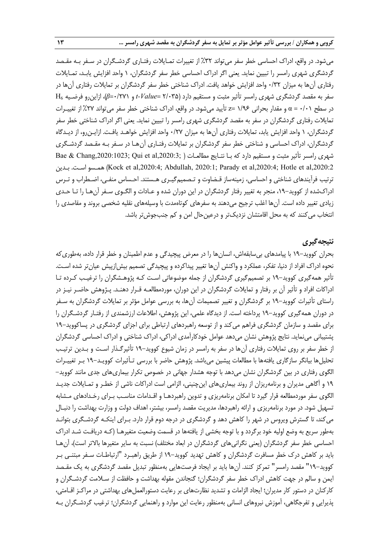ميشود. در واقع، ادراك احساسي خطر سفر ميتواند %32 از تغييرات تمـايلات رفتـاري گردشـگران در سـفر بـه مقـصد گردشگري شهري رامسر را تبيين نمايد. يعني اگر ادراك احساسي خطر سفر گردشگران، 1 واحد افزايش يابـد، تمـايلات رفتاري آنها به ميزان 0/32 واحد افزايش خواهد يافت. ادراك شناختي خطر سفر گردشگران بر تمايلات رفتاري آنها در سفر به مقصد گردشگري شهري رامسر تأثير مثبت و مستقيم دارد (2/035 =*Value-t* و 0/271=*β*(، ازاينرو فرضـيه 6H در سطح 0/01 = α و مقدار بحراني 1/96 =ᴢ تأييد ميشود. در واقع، ادراك شناختي خطر سفر ميتواند %27 از تغييـرات تمايلات رفتاري گردشگران در سفر به مقصد گردشگري شهري رامسر را تبيين نمايد. يعني اگر ادراك شناختي خطر سفر گردشگران، 1 واحد افزايش يابد، تمايلات رفتاري آنها به ميزان 0/27 واحد افزايش خواهـد يافـت. ازايـنرو، از ديـدگاه گردشگران، ادراك احساسي و شناختي خطر سفر گردشگران بر تمايلات رفتـاري آنهـا در سـفر بـه مقـصد گردشـگري شهري رامسر تأثير مثبت و مستقيم دارد كه بـا نتـايج مطالعـات ( ;3020:3 ; Dae & Chang,2020:1023 بـدين .اسـت همـسو) Kock et al,2020:4; Abdullah, 2020:1; Parady et al,2020:4; Hotle et al,2020:2 ترتيب فرآيندهاي شناختي و احساسي، زمينهساز قـضاوت و تـصميمگيـري هـستند. احـساس منفـي، اضـطراب و تـرس ادراكشده از كوويد،19- منجر به تغيير رفتار گردشگران در اين دوران شده و عـادات و الگـوي سـفر آنهـا را تـا حـدي زيادي تغيير داده است. آنها اغلب ترجيح ميدهند به سفرهاي كوتاهمدت با وسيلههاي نقليه شخصي بروند و مقاصدي را انتخاب ميكنند كه به محل اقامتشان نزديكتر و درعينحال امن و كم جنبجوشتر باشد.

### **نتيجهگيري**

بحران كوويد19- با پيامدهاي بيسابقهاش، انسانها را در معرض پيچيدگي و عدم اطمينان و خطر قرار داده، به طوريكه نحوه ادراك افراد از دنيا، تفكر، عملكرد و واكنش آنها تغيير پيداكرده و پيچيدگي تصميم بيشازپيش عيانتر شده اسـت. تأثير همهگيري كوويد19- بر تصميمگيري گردشگران از جمله موضوعاتي اسـت كـه پژوهـشگران را ترغيـب كـرده تـا ادراكات افراد و تأثير آن بر رفتار و تمايلات گردشگران در اين دوران، موردمطالعـه قـ رار دهنـد. پـژوهش حاضـر نيـز در راستاي تأثيرات كوويد19- بر گردشگران و تغيير تصميمات آنها، به بررسي عوامل مؤثر بر تمايلات گردشگران به سـفر در دوران همهگيري كوويد19- پرداخته است. از ديدگاه علمي، اين پژوهش، اطلاعات ارزشمندي از رفتـار گردشـگران را براي مقصد و سازمان گردشگري فراهم ميكند و از توسعه راهبردهاي ارتباطي براي اجزاي گردشگري در پساكوويد19- پشتيباني مينمايد. نتايج پژوهش نشان ميدهد عوامل خودكارآمدي ادراكي، ادراك شناختي و ادراك احساسي گردشگران از خطر سفر بر روي تمايلات رفتاري آنها در سفر به رامسر در زمان شيوع كوويد19- تأثيرگـذار اسـت و بـدين ترتيـب تحليلها بيانگر سازگاري يافتهها با مطالعات پيشين ميباشد. پژوهش حاضر با بررسي تـأثيرات كوويـد19- بـر تغييـرات الگوي رفتاري در بين گردشگران نشان ميدهد با توجه هشدار جهاني در خصوص تكرار بيماريهاي جدي مانند كوويد- 19 و آگاهي مديران و برنامهريزان از روند بيماريهاي اينچنيني، الزامي است ادراكات ناشي از خطـر و تمـايلات جديـد الگوي سفر موردمطالعه قرار گيرد تا امكان برنامهريزي و تدوين راهبردهـا و اقـدامات مناسـب بـراي رخـدادهاي مـشابه تسهيل شود. در مورد برنامهريزي و ارائه راهبردها، مديريت مقصد رامسر، بيشتر، اهداف دولت و وزارت بهداشت را دنبـال ميكند، تا گسترش ويروس در شهر را كاهش دهد و گردشگري در درجه دوم قرار دارد. بـراي اينكـه گردشـگري بتوانـد بهطور سريع به وضع اوليه خود برگردد و با توجه بخشي از يافتهها در قسمت وضعيت متغيرهـا (كـه دريافـت شـد ادراك احساسي خطر سفر گردشگران (يعني نگرانيهاي گردشگران در ابعاد مختلف) نسبت به ساير متغيرها بالاتر است)، آنهـا بايد بر كاهش درك خطر مسافرت گردشگران و كاهش تهديد كوويد19- از طريق راهبـرد "ارتباطـات سـفر مبتنـي بـر كوويد19-" مقصد رامسر" تمركز كنند. آنها بايد بر ايجاد فرصتهايي بهمنظور تبديل مقصد گردشگري به يك مقـصد ايمن و سالم در جهت كاهش ادراك خطر سفر گردشگران؛ گنجاندن مقوله بهداشت و حافظت از سـلامت گردشـگران و كاركنان در دستور كار مديران؛ ايجاد الزامات و تشديد نظارتهاي بر رعايت دستورالعملهاي بهداشتي در مراكـز اقـامتي، پذيرايي و تفرجگاهي، آموزش نيروهاي انساني بهمنظور رعايت اين موارد و راهنمايي گردشگران؛ ترغيب گردشـگران بـه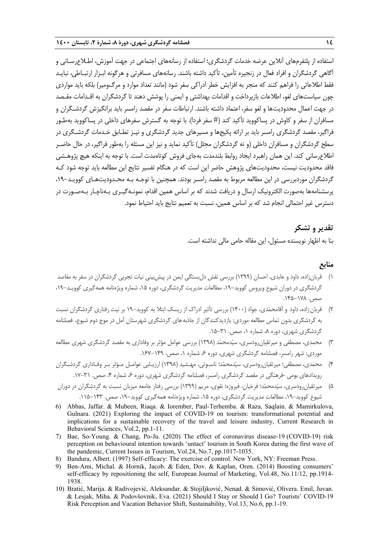استفاده از پلتفرمهاي آنلاين عرضه خدمات گردشگري؛ استفاده از رسانههاي اجتماعي در جهت آموزش، اطـلاعرسـاني و آگاهي گردشگران و افراد فعال در زنجيره تأمين، تأكيد داشته باشند. رسانههاي مسافرتي و هرگونه ابـزار ارتبـاطي، نبايـد فقط اطلاعاتي را فراهم كنند كه منجر به افزايش خطر ادراكي سفر شود (مانند تعداد موارد و مرگومير) بلكه بايد مواردي چون سياستهاي لغو، اطلاعات بازپرداخت و اقدامات بهداشتي و ايمني را پوشش دهند تا گردشگران به اقـدامات مقـصد در جهت اعمال محدوديتها و لغو سفر، اعتماد داشته باشند. ارتباطات سفر در مقصد رامسر بايد برانگيزش گردشـگران و مسافران از سفر و كاوش در پساكوويد تأكيد كند (# سفر فردا). با توجه به گسترش سفرهاي داخلي در پساكوويد به طـور فراگير، مقصد گردشگري رامسر بايد بر ارائه پكيجها و مسيرهاي جديد گردشگري و نيـز تطـابق خـدمات گردشـگري در سطح گردشگران و مسافران داخلي (و نه گردشگران مجلل) تأكيد نمايد و نيز اين مسئله را بهطور فراگير، در حال حاضـر اطلاعرساني كند. اين همان راهبرد ايجاد روابط بلندمدت بهجاي فروش كوتاهمدت است. با توجه به اينكه هيچ پژوهـشي فاقد محدوديت نيست، محدوديتهاي پژوهش حاضر اين است كه در هنگام تفسير نتايج اين مطالعه بايد توجه شود كـه گردشگران موردبررسي در اين مطالعه مربوط به مقصد رامسر بودند. همچنين با توجـه بـه محـدوديتهـاي كوويـد،19- پرسشنامهها بهصورت الكترونيك ارسال و دريافت شدند كه بر اساس همين اقدام، نمونـهگيـري بـهناچـار بـهصـورت در دسترس غير احتمالي انجام شد كه بر اساس همين، نسبت به تعميم نتايج بايد احتياط نمود.

### **تقدير و تشكر**

بنا به اظهار نويسنده مسئول، اين مقاله حامي مالي نداشته است.

### **منابع**

- 1) قربانزاده، داود و عابدي، احسان (1399) بررسي نقش دلبستگي ايمن در پيشبيني نيات تجربي گردشگران در سفر به مقاصد گردشگري در دوران شيوع ويروس كوويد-١٩، مطالعات مديريت گردشگري، دوره ١۵، شماره ويژهنامه همهگيري كوويـد-١٩، صص. .145-178
- 2) قربانزاده، داود و آقامحمدي، جواد (1400) بررسي تأثير ادراك از ريسك ابتلا به كوويد19- بر نيت رفتاري گردشگران نسبت به گردشگري بدون تماس مطالعه موردي: بازديدكنندگان از جاذبههاي گردشگري شهرستان آمل در موج دوم شيوع، فصلنامه گردشگري شهري، دوره ۸، شماره ۰، صص. ۳۱-۱۵.
- 3) محمدي، مصطفي و ميرتقيانرودسري، سيدمحمد (1398) بررسي عوامل مؤثر بر وفاداري به مقصد گردشگري شهري مطالعه موردي: شهر رامسر، فصلنامه گردشگري شهري، دوره ۶، شماره ۱، صص. ۱۴۹–۱۶۷.
- 4) محمدي، مصطفي؛ ميرتقيانرودسري، سيدمحمد؛ ناسـوتي، مهـشيد (1398) ارزيـابي عوامـل مـؤثر بـر وفـاداري گردشـگران رويدادهاي بومي -فرهنگي در مقصد گردشگري رامسر، فصلنامه گردشگري شهري، دوره ۶، شماره ۴، صص. ۳۱-۱۷.
- 5) ميرتقيانرودسري، سيدمحمد؛ فرخيان، فيروزه؛ نقوي، مريم (1399) بررسي رفتار جامعه ميزبان نسبت به گردشگران در دوران شيوع كوويد-١٩، مطالعات مديريت گردشگري، دوره ١۵، شماره ويژهنامه همهگيري كوويد-١٩، صص. ١۴٣-١١۵.
- 6) Abbas, Jaffar. & Mubeen, Riaqa. & Iorember, Paul-Terhemba. & Raza, Saqlain. & Mamirkulova, Gulnara. (2021) Exploring the impact of COVID-19 on tourism: transformational potential and implications for a sustainable recovery of the travel and leisure industry, Current Research in Behavioral Sciences, Vol.2, pp.1-11.
- 7) Bae, So-Young. & Chang, Po-Ju. (2020) The effect of coronavirus disease-19 (COVID-19) risk perception on behavioural intention towards 'untact' tourism in South Korea during the first wave of the pandemic, Current Issues in Tourism, Vol.24, No.7, pp.1017-1035.
- 8) Bandura, Albert. (1997) Self-efficacy: The exercise of control. New York, NY: Freeman Press.
- 9) Ben-Ami, Michal. & Hornik, Jacob. & Eden, Dov. & Kaplan, Oren. (2014) Boosting consumers' self-efficacy by repositioning the self, European Journal of Marketing, Vol.48, No.11/12, pp.1914- 1938.
- 10) Bratić, Marija. & Radivojević, Aleksandar. & Stojiljković, Nenad. & Simović, Olivera. Emil, Juvan. & Lesjak, Miha. & Podovšovnik, Eva. (2021) Should I Stay or Should I Go? Tourists' COVID-19 Risk Perception and Vacation Behavior Shift, Sustainability, Vol.13, No.6, pp.1-19.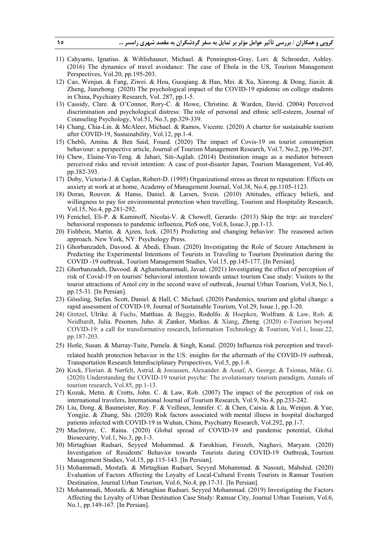- 11) Cahyanto, Ignatius. & Wiblishauser, Michael. & Pennington-Gray, Lori. & Schroeder, Ashley. (2016) The dynamics of travel avoidance: The case of Ebola in the US, Tourism Management Perspectives, Vol.20, pp.195-203.
- 12) Cao, Wenjun. & Fang, Ziwei. & Hou, Guoqiang. & Han, Mei. & Xu, Xinrong. & Dong, Jiaxin. & Zheng, Jianzhong. (2020) The psychological impact of the COVID-19 epidemic on college students in China, Psychiatry Research, Vol. 287, pp.1-5.
- 13) Cassidy, Clare. & O'Connor, Rory-C. & Howe, Christine. & Warden, David. (2004) Perceived discrimination and psychological distress: The role of personal and ethnic self-esteem, Journal of Counseling Psychology, Vol.51, No.3, pp.329-339.
- 14) Chang, Chia-Lin. & McAleer, Michael. & Ramos, Vicente. (2020) A charter for sustainable tourism after COVID-19, Sustainability, Vol.12, pp.1-4.
- 15) Chebli, Amina. & Ben Said, Foued. (2020) The impact of Covis-19 on tourist consumption behaviour: a perspective article, Journal of Tourism Management Research, Vol.7, No.2, pp.196-207.
- 16) Chew, Elaine-Yin-Teng. & Jahari, Siti-Aqilah. (2014) Destination image as a mediator between perceived risks and revisit intention: A case of post-disaster Japan, Tourism Management, Vol.40, pp.382-393.
- 17) Doby, Victoria-J. & Caplan, Robert-D. (1995) Organizational stress as threat to reputation: Effects on anxiety at work at at home, Academy of Management Journal, Vol.38, No.4, pp.1105-1123.
- 18) Doran, Rouven. & Hanss, Daniel. & Larsen, Svein. (2010) Attitudes, efficacy beliefs, and willingness to pay for environmental protection when travelling, Tourism and Hospitality Research, Vol.15, No.4, pp.281-292.
- 19) Fenichel, Eli-P. & Kuminoff, Nicolai-V. & Chowell, Gerardo. (2013) Skip the trip: air travelers' behavioral responses to pandemic influenza, PloS one, Vol.8, Issue.3, pp.1-13.
- 20) Fishbein, Martin. & Ajzen, Icek. (2015) Predicting and changing behavior: The reasoned action approach. New York, NY: Psychology Press.
- 21) Ghorbanzadeh, Davood. & Abedi, Ehsan. (2020) Investigating the Role of Secure Attachment in Predicting the Experimental Intentions of Tourists in Traveling to Tourism Destination during the COVID -19 outbreak, Tourism Management Studies, Vol.15, pp.145-177. [In Persian].
- 22) Ghorbanzadeh, Davood. & Aghamohammadi, Javad. (2021) Investigating the effect of perception of risk of Covid-19 on tourists' behavioral intention towards untact tourism Case study: Visitors to the tourist attractions of Amol city in the second wave of outbreak, Journal Urban Tourism, Vol.8, No.1, pp.15-31. [In Persian].
- 23) Gössling, Stefan. Scott, Daniel. & Hall, C. Michael. (2020) Pandemics, tourism and global change: a rapid assessment of COVID-19, Journal of Sustainable Tourism, Vol.29, Issue.1, pp.1-20.
- 24) Gretzel, Ulrike. & Fuchs, Matthias. & Baggio, Rodolfo. & Hoepken, Wolfram. & Law, Rob. & Neidhardt, Julia. Pesonen, Juho. & Zanker, Markus. & Xiang, Zheng. (2020) e-Tourism beyond COVID-19: a call for transformative research, Information Technology & Tourism, Vol.1, Issue.22, pp.187-203.
- 25) Hotle, Susan. & Murray-Tuite, Pamela. & Singh, Kunal. (2020) Influenza risk perception and travelrelated health protection behavior in the US: insights for the aftermath of the COVID-19 outbreak, Transportation Research Interdisciplinary Perspectives, Vol.5, pp.1-8.
- 26) Kock, Florian. & Nørfelt, Astrid. & Josiassen, Alexander. & Assaf, A. George. & Tsionas, Mike. G. (2020) Understanding the COVID-19 tourist psyche: The evolutionary tourism paradigm, Annals of tourism research, Vol.85, pp.1-13.
- 27) Kozak, Metin. & Crotts, John. C. & Law, Rob. (2007) The impact of the perception of risk on international travelers, International Journal of Tourism Research, Vol.9, No.4, pp.233-242.
- 28) Liu, Dong. & Baumeister, Roy. F. & Veilleux, Jennifer. C. & Chen, Caixia. & Liu, Wenjun. & Yue, Yongjie. & Zhang, Shi. (2020) Risk factors associated with mental illness in hospital discharged patients infected with COVID-19 in Wuhan, China, Psychiatry Research, Vol.292, pp.1-7.
- 29) MacIntyre, C. Raina. (2020) Global spread of COVID-19 and pandemic potential, Global Biosecurity, Vol.1, No.3, pp.1-3.
- 30) Mirtaghian Rudsari, Seyyed Mohammad. & Farokhian, Firozeh, Naghavi, Maryam. (2020) Investigation of Residents' Behavior towards Tourists during COVID-19 Outbreak, Tourism Management Studies, Vol.15, pp.115-143. [In Persian].
- 31) Mohammadi, Mostafa. & Mirtaghian Rudsari, Seyyed Mohammad. & Nasouti, Mahshid. (2020) Evaluation of Factors Affecting the Loyalty of Local-Cultural Events Tourists in Ramsar Tourism Destination, Journal Urban Tourism, Vol.6, No.4, pp.17-31. [In Persian].
- 32) Mohammadi, Mostafa. & Mirtaghian Rudsari, Seyyed Mohammad. (2019) Investigating the Factors Affecting the Loyalty of Urban Destination Case Study: Ramsar City, Journal Urban Tourism, Vol.6, No.1, pp.149-167. [In Persian].